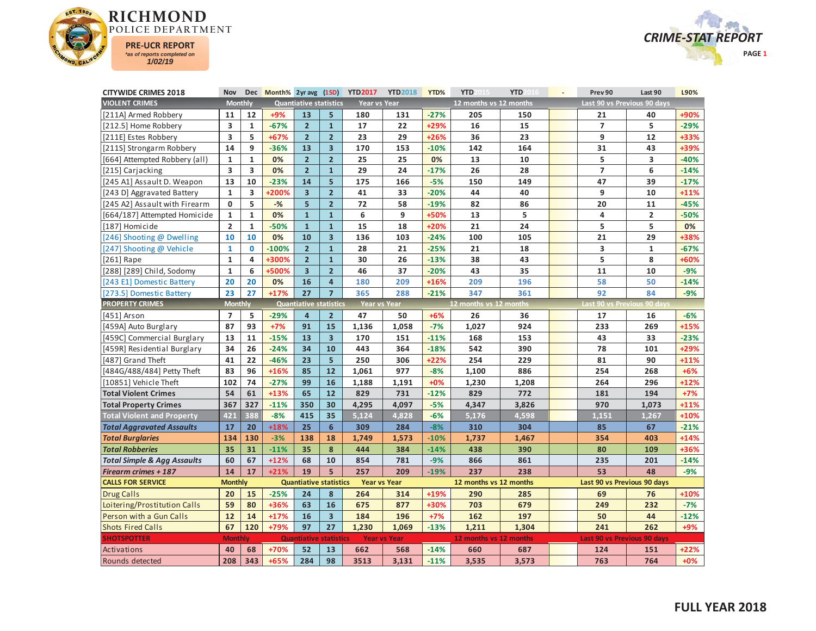



| <b>CITYWIDE CRIMES 2018</b>            | Nov                     |                         | Dec Month% 2yr avg (1SD) |                               |                         | <b>YTD2017</b>      | <b>YTD2018</b>      | YTD%   | YTD                    | <b>YTD</b> | Prev 90                     | Last 90        | L90%   |
|----------------------------------------|-------------------------|-------------------------|--------------------------|-------------------------------|-------------------------|---------------------|---------------------|--------|------------------------|------------|-----------------------------|----------------|--------|
| <b>VIOLENT CRIMES</b>                  | <b>Monthly</b>          |                         |                          | <b>Quantiative statistics</b> |                         | Year vs Year        |                     |        | 12 months vs 12 months |            | Last 90 vs Previous 90 days |                |        |
| [211A] Armed Robbery                   | 11                      | 12                      | +9%                      | 13                            | 5                       | 180                 | 131                 | $-27%$ | 205                    | 150        | 21                          | 40             | +90%   |
| [212.5] Home Robbery                   | 3                       | $\mathbf{1}$            | $-67%$                   | $\overline{2}$                | $\mathbf{1}$            | 17                  | 22                  | +29%   | 16                     | 15         | $\overline{7}$              | 5              | $-29%$ |
| [211E] Estes Robbery                   | $\overline{\mathbf{3}}$ | 5                       | $+67%$                   | $\overline{2}$                | $\overline{2}$          | 23                  | 29                  | $+26%$ | 36                     | 23         | 9                           | 12             | +33%   |
| [211S] Strongarm Robbery               | 14                      | 9                       | $-36%$                   | 13                            | $\overline{\mathbf{3}}$ | 170                 | 153                 | $-10%$ | 142                    | 164        | 31                          | 43             | +39%   |
| [664] Attempted Robbery (all)          | $\mathbf{1}$            | $\mathbf{1}$            | 0%                       | $\overline{2}$                | $\overline{\mathbf{c}}$ | 25                  | 25                  | 0%     | 13                     | 10         | 5                           | 3              | $-40%$ |
| [215] Carjacking                       | 3                       | $\overline{\mathbf{3}}$ | 0%                       | $\overline{2}$                | $\mathbf{1}$            | 29                  | 24                  | $-17%$ | 26                     | 28         | $\overline{7}$              | 6              | $-14%$ |
| [245 A1] Assault D. Weapon             | 13                      | 10                      | $-23%$                   | 14                            | 5                       | 175                 | 166                 | $-5%$  | 150                    | 149        | 47                          | 39             | $-17%$ |
| [243 D] Aggravated Battery             | $\mathbf{1}$            | $\overline{\mathbf{3}}$ | +200%                    | $\overline{\mathbf{3}}$       | $\overline{2}$          | 41                  | 33                  | $-20%$ | 44                     | 40         | 9                           | 10             | $+11%$ |
| [245 A2] Assault with Firearm          | 0                       | 5                       | $-%$                     | 5                             | $\overline{2}$          | 72                  | 58                  | $-19%$ | 82                     | 86         | 20                          | 11             | $-45%$ |
| [664/187] Attempted Homicide           | $\mathbf{1}$            | $\mathbf{1}$            | 0%                       | $\mathbf{1}$                  | $\mathbf{1}$            | 6                   | 9                   | +50%   | 13                     | 5          | 4                           | $\overline{2}$ | $-50%$ |
| [187] Homicide                         | $\overline{\mathbf{c}}$ | $\mathbf{1}$            | $-50%$                   | $\mathbf{1}$                  | $\mathbf{1}$            | 15                  | 18                  | +20%   | 21                     | 24         | 5                           | 5              | 0%     |
| [246] Shooting @ Dwelling              | 10                      | 10                      | 0%                       | 10                            | $\overline{\mathbf{3}}$ | 136                 | 103                 | $-24%$ | 100                    | 105        | 21                          | 29             | +38%   |
| [247] Shooting @ Vehicle               | $\mathbf{1}$            | $\mathbf{0}$            | $-100%$                  | $\overline{2}$                | $\overline{1}$          | 28                  | 21                  | $-25%$ | 21                     | 18         | 3                           | $\mathbf{1}$   | $-67%$ |
| $[261]$ Rape                           | $\mathbf 1$             | 4                       | +300%                    | $\overline{2}$                | $\mathbf{1}$            | 30                  | 26                  | $-13%$ | 38                     | 43         | 5                           | 8              | +60%   |
| [288] [289] Child, Sodomy              | $\mathbf{1}$            | 6                       | +500%                    | $\overline{\mathbf{3}}$       | $\overline{2}$          | 46                  | 37                  | $-20%$ | 43                     | 35         | 11                          | 10             | $-9%$  |
| [243 E1] Domestic Battery              | 20                      | 20                      | 0%                       | 16                            | $\overline{4}$          | 180                 | 209                 | $+16%$ | 209                    | 196        | 58                          | 50             | $-14%$ |
| [273.5] Domestic Battery               | 23                      | 27                      | $+17%$                   | 27                            | $\overline{7}$          | 365                 | 288                 | $-21%$ | 347                    | 361        | 92                          | 84             | $-9%$  |
| <b>PROPERTY CRIMES</b>                 | <b>Monthly</b>          |                         |                          | <b>Quantiative statistics</b> |                         | <b>Year vs Year</b> |                     |        | 12 months vs 12 months |            | Last 90 vs Previous 90 day  |                |        |
| [451] Arson                            | $\overline{7}$          | 5                       | $-29%$                   | $\overline{4}$                | $\overline{2}$          | 47                  | 50                  | $+6%$  | 26                     | 36         | 17                          | 16             | $-6%$  |
| [459A] Auto Burglary                   | 87                      | 93                      | $+7%$                    | 91                            | 15                      | 1,136               | 1,058               | $-7%$  | 1,027                  | 924        | 233                         | 269            | $+15%$ |
| [459C] Commercial Burglary             | 13                      | 11                      | $-15%$                   | 13                            | $\overline{\mathbf{3}}$ | 170                 | 151                 | $-11%$ | 168                    | 153        | 43                          | 33             | $-23%$ |
| [459R] Residential Burglary            | 34                      | 26                      | $-24%$                   | 34                            | 10                      | 443                 | 364                 | $-18%$ | 542                    | 390        | 78                          | 101            | +29%   |
| [487] Grand Theft                      | 41                      | 22                      | $-46%$                   | 23                            | 5                       | 250                 | 306                 | $+22%$ | 254                    | 229        | 81                          | 90             | $+11%$ |
| [484G/488/484] Petty Theft             | 83                      | 96                      | $+16%$                   | 85                            | 12                      | 1,061               | 977                 | $-8%$  | 1,100                  | 886        | 254                         | 268            | $+6%$  |
| [10851] Vehicle Theft                  | 102                     | 74                      | $-27%$                   | 99                            | 16                      | 1,188               | 1,191               | $+0%$  | 1,230                  | 1,208      | 264                         | 296            | +12%   |
| <b>Total Violent Crimes</b>            | 54                      | 61                      | $+13%$                   | 65                            | 12                      | 829                 | 731                 | $-12%$ | 829                    | 772        | 181                         | 194            | $+7%$  |
| <b>Total Property Crimes</b>           | 367                     | 327                     | $-11%$                   | 350                           | 30                      | 4,295               | 4,097               | $-5%$  | 4,347                  | 3,826      | 970                         | 1,073          | $+11%$ |
| <b>Total Violent and Property</b>      | 421                     | 388                     | $-8%$                    | 415                           | 35                      | 5,124               | 4.828               | $-6%$  | 5,176                  | 4,598      | 1,151                       | 1,267          | +10%   |
| <b>Total Aggravated Assaults</b>       | 17                      | 20                      | $+18%$                   | 25                            | 6                       | 309                 | 284                 | $-8%$  | 310                    | 304        | 85                          | 67             | $-21%$ |
| <b>Total Burglaries</b>                | 134                     | 130                     | $-3%$                    | 138                           | 18                      | 1,749               | 1,573               | $-10%$ | 1,737                  | 1,467      | 354                         | 403            | $+14%$ |
| <b>Total Robberies</b>                 | 35                      | 31                      | $-11%$                   | 35                            | 8                       | 444                 | 384                 | $-14%$ | 438                    | 390        | 80                          | 109            | +36%   |
| <b>Total Simple &amp; Agg Assaults</b> | 60                      | 67                      | $+12%$                   | 68                            | 10                      | 854                 | 781                 | $-9%$  | 866                    | 861        | 235                         | 201            | $-14%$ |
| <b>Firearm crimes + 187</b>            | 14                      | 17                      | $+21%$                   | 19                            | 5                       | 257                 | 209                 | $-19%$ | 237                    | 238        | 53                          | 48             | $-9%$  |
| <b>CALLS FOR SERVICE</b>               | <b>Monthly</b>          |                         |                          | <b>Quantiative statistics</b> |                         | <b>Year vs Year</b> |                     |        | 12 months vs 12 months |            | Last 90 vs Previous 90 days |                |        |
| <b>Drug Calls</b>                      | 20                      | 15                      | $-25%$                   | 24                            | 8                       | 264                 | 314                 | +19%   | 290                    | 285        | 69                          | 76             | +10%   |
| Loitering/Prostitution Calls           | 59                      | 80                      | +36%                     | 63                            | 16                      | 675                 | 877                 | +30%   | 703                    | 679        | 249                         | 232            | $-7%$  |
| Person with a Gun Calls                | 12                      | 14                      | $+17%$                   | 16                            | $\overline{3}$          | 184                 | 196                 | $+7%$  | 162                    | 197        | 50                          | 44             | $-12%$ |
| <b>Shots Fired Calls</b>               | 67                      | 120                     | +79%                     | 97                            | 27                      | 1,230               | 1,069               | $-13%$ | 1,211                  | 1,304      | 241                         | 262            | $+9%$  |
| <b>SHOTSPOTTER</b>                     | <b>Monthly</b>          |                         |                          | <b>Quantiative</b>            | <b>statistics</b>       |                     | <b>Year vs Year</b> |        | 12 months vs 12 months |            | Last 90 vs Previous 90 days |                |        |
| Activations                            | 40                      | 68                      | +70%                     | 52                            | 13                      | 662                 | 568                 | $-14%$ | 660                    | 687        | 124                         | 151            | $+22%$ |
| Rounds detected                        | 208                     | 343                     | $+65%$                   | 284                           | 98                      | 3513                | 3.131               | $-11%$ | 3,535                  | 3,573      | 763                         | 764            | $+0%$  |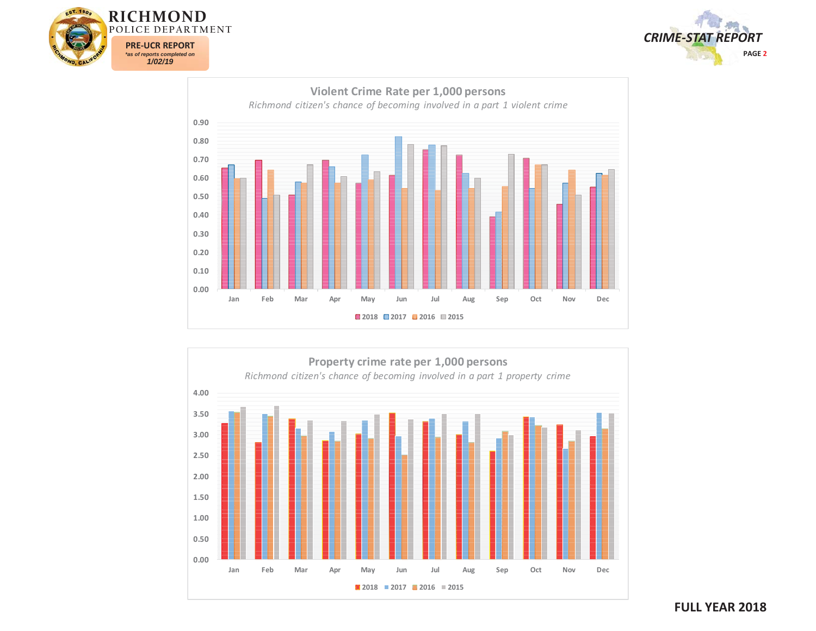







## **FULL YEAR 2018**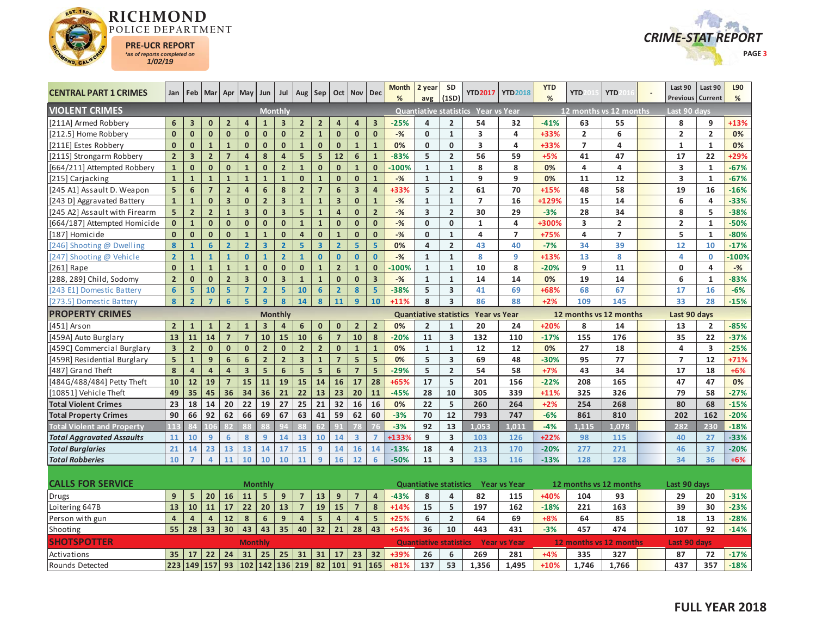



| <b>CENTRAL PART 1 CRIMES</b>      | Jan                     |                         | Feb   Mar               | Apr                     | May                     | Jun                     | Jul                     | Aug                     | Sep                     |                | Oct Nov                 | Dec                     | Month<br>% | 2 year<br>avg           | <b>SD</b><br>(1SD)      |                                            | YTD2017   YTD2018 | <b>YTD</b><br>% | <b>YTD</b>              | <b>YTD</b>     | Last 90<br>Previous     | Last 90<br>Current | L90<br>% |
|-----------------------------------|-------------------------|-------------------------|-------------------------|-------------------------|-------------------------|-------------------------|-------------------------|-------------------------|-------------------------|----------------|-------------------------|-------------------------|------------|-------------------------|-------------------------|--------------------------------------------|-------------------|-----------------|-------------------------|----------------|-------------------------|--------------------|----------|
| <b>VIOLENT CRIMES</b>             |                         |                         |                         |                         |                         |                         | <b>Monthly</b>          |                         |                         |                |                         |                         |            |                         |                         | Quantiative statistics Year vs Year        |                   |                 | 12 months vs 12 months  |                | Last 90 davs            |                    |          |
| [211A] Armed Robbery              | 6                       | 3                       | $\mathbf 0$             | $\overline{2}$          | 4                       | $\mathbf{1}$            | 3                       | $\overline{2}$          | $\overline{2}$          | 4              | 4                       | $\overline{\mathbf{3}}$ | $-25%$     | $\overline{4}$          | $\overline{2}$          | 54                                         | 32                | $-41%$          | 63                      | 55             | 8                       | 9                  | +13%     |
| [212.5] Home Robbery              | $\mathbf{0}$            | $\mathbf{0}$            | $\mathbf{0}$            | $\mathbf{0}$            | $\mathbf{0}$            | $\mathbf{0}$            | $\mathbf{0}$            | $\overline{2}$          | $\mathbf{1}$            | $\mathbf{0}$   | $\mathbf{0}$            | $\mathbf{0}$            | $-$ %      | $\mathbf{0}$            | $\mathbf{1}$            | 3                                          | 4                 | +33%            | $\overline{2}$          | 6              | $\overline{2}$          | $\overline{2}$     | 0%       |
| [211E] Estes Robbery              | $\mathbf{0}$            | $\mathbf{0}$            | $\mathbf{1}$            | $\mathbf{1}$            | $\mathbf{0}$            | $\mathbf{0}$            | $\mathbf{0}$            | $\mathbf{1}$            | $\mathbf{0}$            | $\mathbf{0}$   | $\mathbf{1}$            | $\mathbf{1}$            | 0%         | $\mathbf 0$             | 0                       | 3                                          | 4                 | +33%            | $\overline{7}$          | 4              | $\mathbf{1}$            | $\mathbf{1}$       | 0%       |
| [211S] Strongarm Robbery          | $\overline{2}$          | $\overline{\mathbf{3}}$ | $\overline{2}$          | $\overline{7}$          | $\overline{4}$          | 8                       | $\overline{4}$          | 5 <sup>1</sup>          | $\overline{5}$          | 12             | $6\phantom{1}6$         | $\overline{1}$          | $-83%$     | 5                       | $\overline{2}$          | 56                                         | 59                | $+5%$           | 41                      | 47             | 17                      | 22                 | +29%     |
| [664/211] Attempted Robbery       | $\mathbf{1}$            | $\mathbf{0}$            | $\mathbf{0}$            | $\mathbf{0}$            | $\mathbf{1}$            | $\mathbf{0}$            | 2 <sup>2</sup>          | $\mathbf 1$             | $\mathbf{0}$            | $\mathbf{0}$   | $\mathbf{1}$            | $\mathbf{0}$            | $-100%$    | $\mathbf{1}$            | $\mathbf{1}$            | 8                                          | 8                 | 0%              | 4                       | 4              | $\overline{\mathbf{3}}$ | $\mathbf{1}$       | $-67%$   |
| [215] Carjacking                  | $\mathbf{1}$            | $\mathbf 1$             | $\mathbf{1}$            | $\mathbf{1}$            | $\mathbf{1}$            | $\mathbf{1}$            | $\mathbf{1}$            | $\mathbf{0}$            | $\overline{1}$          | $\mathbf{0}$   | $\mathbf{0}$            | $\mathbf{1}$            | $-9/6$     | $\mathbf{1}$            | $\mathbf{1}$            | 9                                          | 9                 | 0%              | 11                      | 12             | $\overline{\mathbf{3}}$ | $\mathbf{1}$       | $-67%$   |
| [245 A1] Assault D. Weapon        | 5                       | $6\phantom{1}$          | $\overline{7}$          | $\overline{2}$          | $\overline{4}$          | 6                       | 8                       | $\overline{2}$          | $\overline{7}$          | $6\phantom{1}$ | $\overline{\mathbf{3}}$ | $\overline{4}$          | +33%       | 5                       | $\overline{2}$          | 61                                         | 70                | $+15%$          | 48                      | 58             | 19                      | 16                 | $-16%$   |
| [243 D] Aggravated Battery        | $\mathbf{1}$            | $\mathbf 1$             | $\mathbf{0}$            | $\overline{\mathbf{3}}$ | $\mathbf{0}$            | $\overline{2}$          | 3 <sup>1</sup>          | $\mathbf{1}$            | $\mathbf{1}$            | $\overline{3}$ | $\mathbf{0}$            | $\mathbf{1}$            | $-$ %      | $\mathbf{1}$            | $\mathbf{1}$            | $\overline{7}$                             | 16                | +129%           | 15                      | 14             | 6                       | 4                  | $-33%$   |
| [245 A2] Assault with Firearm     | 5                       | $\mathbf 2$             | $\overline{2}$          | $\mathbf{1}$            | $\overline{\mathbf{3}}$ | $\mathbf{0}$            | 3 <sup>1</sup>          | 5                       | $\mathbf{1}$            | $\overline{4}$ | $\mathbf{0}$            | $\overline{2}$          | $-%$       | $\overline{\mathbf{3}}$ | $\overline{2}$          | 30                                         | 29                | $-3%$           | 28                      | 34             | 8                       | 5                  | $-38%$   |
| [664/187] Attempted Homicide      | $\mathbf{0}$            | $\mathbf 1$             | $\mathbf{0}$            | $\mathbf{0}$            | $\mathbf{0}$            | $\mathbf{0}$            | $\mathbf{0}$            | $\mathbf{1}$            | $\mathbf{1}$            | $\mathbf{0}$   | $\mathbf{0}$            | $\mathbf{0}$            | $-$ %      | $\mathbf{0}$            | $\mathbf{0}$            | $\mathbf{1}$                               | 4                 | +300%           | $\overline{\mathbf{3}}$ | $\overline{2}$ | $\overline{2}$          | $\mathbf{1}$       | $-50%$   |
| [187] Homicide                    | $\mathbf{0}$            | $\mathbf 0$             | $\mathbf{0}$            | $\pmb{0}$               | $\mathbf{1}$            | $\mathbf{1}$            | $\mathbf{0}$            | $\overline{4}$          | $\mathbf{0}$            | $\mathbf{1}$   | $\mathbf{0}$            | $\mathbf{0}$            | $-$ %      | $\mathbf 0$             | $\mathbf{1}$            | 4                                          | $\overline{7}$    | $+75%$          | 4                       | $\overline{7}$ | 5                       | $\mathbf{1}$       | $-80%$   |
| [246] Shooting @ Dwelling         | 8                       | $\mathbf{1}$            | $6\overline{6}$         | $\overline{2}$          | $\overline{2}$          | $\overline{\mathbf{3}}$ | $\overline{2}$          | 5 <sup>1</sup>          | $\overline{\mathbf{3}}$ | $\overline{2}$ | 5                       | $\overline{5}$          | 0%         | $\overline{a}$          | $\overline{2}$          | 43                                         | 40                | $-7%$           | 34                      | 39             | 12                      | 10                 | $-17%$   |
| [247] Shooting @ Vehicle          | $\overline{2}$          | $\mathbf{1}$            | $\mathbf{1}$            | $\mathbf{1}$            | $\mathbf{0}$            | $\mathbf{1}$            | $\overline{2}$          | $\mathbf{1}$            | $\mathbf{0}$            | $\mathbf{0}$   | $\mathbf{0}$            | $\bf{0}$                | $-$ %      | $\mathbf{1}$            | $\mathbf 1$             | 8                                          | 9                 | +13%            | 13                      | 8              | 4                       | $\mathbf 0$        | $-100%$  |
| $[261]$ Rape                      | $\mathbf{0}$            | $\mathbf{1}$            | $\mathbf{1}$            | $\mathbf{1}$            | $\mathbf{1}$            | $\mathbf{0}$            | $\mathbf{0}$            | $\mathbf{0}$            | $\mathbf{1}$            | $\overline{2}$ | $\mathbf{1}$            | $\mathbf{0}$            | $-100%$    | $\mathbf{1}$            | $\mathbf{1}$            | 10                                         | 8                 | $-20%$          | 9                       | 11             | 0                       | $\overline{a}$     | $-$ %    |
| [288, 289] Child, Sodomy          | $\overline{2}$          | $\mathbf{0}$            | $\mathbf{0}$            | $\overline{2}$          | $\overline{\mathbf{3}}$ | $\mathbf{0}$            | $\overline{\mathbf{3}}$ | $\mathbf{1}$            | $\mathbf{1}$            | $\mathbf{0}$   | $\mathbf{0}$            | $\overline{3}$          | $-$ %      | $\mathbf{1}$            | $\mathbf{1}$            | 14                                         | 14                | 0%              | 19                      | 14             | 6                       | $\mathbf{1}$       | $-83%$   |
| [243 E1] Domestic Battery         | 6                       | 5                       | 10                      | 5 <sup>1</sup>          | $\overline{7}$          | $\overline{2}$          | 5                       | 10                      | 6                       | $\overline{2}$ | 8                       | $\overline{5}$          | $-38%$     | 5                       | $\overline{\mathbf{3}}$ | 41                                         | 69                | +68%            | 68                      | 67             | 17                      | 16                 | $-6%$    |
| [273.5] Domestic Battery          | 8                       | $\overline{2}$          | $\overline{7}$          | $6 \overline{6}$        | 5 <sup>1</sup>          | $\overline{9}$          | 8                       | 14                      | 8                       | 11             | $\overline{9}$          | 10                      | $+11%$     | 8                       | $\overline{\mathbf{3}}$ | 86                                         | 88                | $+2%$           | 109                     | 145            | 33                      | 28                 | $-15%$   |
| <b>PROPERTY CRIMES</b>            |                         |                         |                         |                         |                         |                         | <b>Monthly</b>          |                         |                         |                |                         |                         |            |                         |                         | Quantiative statistics Year vs Year        |                   |                 | 12 months vs 12 months  |                | Last 90 days            |                    |          |
| [451] Arson                       | $\overline{2}$          | $\mathbf{1}$            | $\mathbf{1}$            | $\overline{2}$          | $\mathbf{1}$            | $\overline{\mathbf{3}}$ | 4                       | 6                       | $\mathbf{0}$            | $\mathbf{0}$   | $\overline{2}$          | $\overline{2}$          | 0%         | $\overline{2}$          | $\mathbf{1}$            | 20                                         | 24                | $+20%$          | 8                       | 14             | 13                      | $\overline{2}$     | $-85%$   |
| [459A] Auto Burglary              | 13                      | 11                      | 14                      | $\overline{7}$          | $\overline{7}$          | 10                      | 15                      | 10                      | $6\overline{6}$         | $\overline{7}$ | 10                      | 8                       | $-20%$     | 11                      | $\overline{\mathbf{3}}$ | 132                                        | 110               | $-17%$          | 155                     | 176            | 35                      | 22                 | $-37%$   |
| [459C] Commercial Burglary        | $\overline{\mathbf{3}}$ | $\overline{2}$          | $\mathbf 0$             | $\mathbf{0}$            | $\mathbf{0}$            | $\overline{2}$          | $\mathbf{0}$            | $\overline{2}$          | $\overline{2}$          | $\mathbf{0}$   | $\mathbf{1}$            | $\mathbf{1}$            | 0%         | $\mathbf{1}$            | $\mathbf{1}$            | 12                                         | 12                | 0%              | 27                      | 18             | 4                       | 3                  | $-25%$   |
| [459R] Residential Burglary       | 5 <sup>5</sup>          | $\mathbf{1}$            | 9                       | $\boldsymbol{6}$        | 6                       | 2 <sup>2</sup>          | 2 <sup>2</sup>          | $\overline{\mathbf{3}}$ | $\mathbf{1}$            | $\overline{7}$ | 5 <sup>5</sup>          | 5                       | 0%         | 5                       | $\overline{\mathbf{3}}$ | 69                                         | 48                | $-30%$          | 95                      | 77             | $\overline{7}$          | 12                 | $+71%$   |
| [487] Grand Theft                 | 8                       | $\overline{\mathbf{a}}$ | $\overline{\mathbf{4}}$ | $\overline{\mathbf{4}}$ | $\overline{\mathbf{3}}$ | 5                       | $6\phantom{a}$          | 5 <sup>5</sup>          | 5                       | $6\phantom{1}$ | $\overline{7}$          | 5                       | $-29%$     | 5                       | $\overline{2}$          | 54                                         | 58                | $+7%$           | 43                      | 34             | 17                      | 18                 | $+6%$    |
| [484G/488/484] Petty Theft        | 10                      | 12                      | 19                      | $\overline{7}$          | 15                      | 11                      | 19                      | 15                      | 14                      | 16             | 17                      | 28                      | +65%       | 17                      | 5                       | 201                                        | 156               | $-22%$          | 208                     | 165            | 47                      | 47                 | 0%       |
| [10851] Vehicle Theft             | 49                      | 35                      | 45                      | 36                      | 34                      | 36                      | 21                      | 22                      | 13                      | 23             | 20                      | 11                      | $-45%$     | 28                      | 10                      | 305                                        | 339               | $+11%$          | 325                     | 326            | 79                      | 58                 | $-27%$   |
| <b>Total Violent Crimes</b>       | 23                      | 18                      | 14                      | 20                      | 22                      | 19                      | 27                      | 25                      | 21                      | 32             | 16                      | 16                      | 0%         | 22                      | 5                       | 260                                        | 264               | $+2%$           | 254                     | 268            | 80                      | 68                 | $-15%$   |
| <b>Total Property Crimes</b>      | 90                      | 66                      | 92                      | 62                      | 66                      | 69                      | 67                      | 63                      | 41                      | 59             | 62                      | 60                      | $-3%$      | 70                      | 12                      | 793                                        | 747               | $-6%$           | 861                     | 810            | 202                     | 162                | $-20%$   |
| <b>Total Violent and Property</b> | 11 <sup>2</sup>         |                         | 106                     |                         |                         |                         |                         |                         | 62                      |                |                         |                         | $-3%$      | 92                      | 13                      | 1,053                                      | 1.011             | $-4%$           | 1.115                   | 1.078          | 282                     | 230                | $-18%$   |
| <b>Total Aggravated Assaults</b>  | 11                      | 10                      | $\overline{9}$          | 6                       | 8                       | 9                       | 14                      | 13                      | 10                      | 14             | $\overline{\mathbf{3}}$ | $\overline{7}$          | +133%      | 9                       | $\overline{\mathbf{3}}$ | 103                                        | 126               | $+22%$          | 98                      | 115            | 40                      | 27                 | $-33%$   |
| <b>Total Burglaries</b>           | 21                      | 14                      | 23                      | 13                      | 13                      | 14                      | 17                      | 15                      | 9                       | 14             | 16                      | 14                      | $-13%$     | 18                      | $\overline{4}$          | 213                                        | 170               | $-20%$          | 277                     | 271            | 46                      | 37                 | $-20%$   |
| <b>Total Robberies</b>            | 10                      | $\overline{7}$          | $\overline{4}$          | 11                      | 10                      | 10                      | 10                      | 11                      | $\overline{9}$          | 16             | 12                      | $6\phantom{1}6$         | $-50%$     | 11                      | $\overline{\mathbf{3}}$ | 133                                        | 116               | $-13%$          | 128                     | 128            | 34                      | 36                 | $+6%$    |
|                                   |                         |                         |                         |                         |                         |                         |                         |                         |                         |                |                         |                         |            |                         |                         |                                            |                   |                 |                         |                |                         |                    |          |
| <b>CALLS FOR SERVICE</b>          |                         |                         |                         |                         |                         | <b>Monthly</b>          |                         |                         |                         |                |                         |                         |            |                         |                         | <b>Quantiative statistics Year vs Year</b> |                   |                 | 12 months vs 12 months  |                | Last 90 days            |                    |          |
| <b>Drugs</b>                      | 9                       | 5                       | 20                      | 16                      | 11                      | 5                       | 9                       | $\overline{7}$          | 13                      | 9              | $\overline{7}$          | $\overline{4}$          | $-43%$     | 8                       | 4                       | 82                                         | 115               | +40%            | 104                     | 93             | 29                      | 20                 | $-31%$   |
| Loitering 647B                    | 13                      | 10                      | 11                      | 17                      | 22                      | 20                      | 13                      | $\overline{7}$          | 19                      | 15             | $\overline{7}$          | 8                       | $+14%$     | 15                      | 5                       | 197                                        | 162               | $-18%$          | 221                     | 163            | 39                      | 30                 | $-23%$   |
| Person with gun                   | $\overline{4}$          | $\overline{a}$          | $\overline{\mathbf{4}}$ | 12                      | 8                       | $6\phantom{1}$          | 9 <sup>°</sup>          | $\overline{\mathbf{4}}$ | 5                       | $\overline{4}$ | $\overline{a}$          | 5                       | $+25%$     | 6                       | $\overline{2}$          | 64                                         | 69                | $+8%$           | 64                      | 85             | 18                      | 13                 | $-28%$   |
| <b>Shooting</b>                   | 55                      | 28                      | 33                      | 30                      | 43                      | 43                      | 35                      | 40                      | 32                      | 21             | 28                      | 43                      | $+54%$     | 36                      | 10                      | 443                                        | 431               | $-3%$           | 457                     | 474            | 107                     | 92                 | $-14%$   |
| <b>SHOTSPOTTER</b>                |                         |                         |                         |                         | <b>Monthly</b>          |                         |                         |                         |                         |                |                         |                         |            |                         |                         | <b>Quantiative statistics Year vs Year</b> |                   |                 | 12 months vs 12 months  |                | Last 90 days            |                    |          |
| Activations                       | 35                      | 17                      | 22                      | 24                      | 31                      | 25                      | 25                      | 31                      | 31                      | 17             | 23                      | 32                      | +39%       | 26                      | 6                       | 269                                        | 281               | $+4%$           | 335                     | 327            | 87                      | 72                 | $-17%$   |
| Rounds Detected                   | 223                     | 149                     | 157                     | 93                      | 102                     | 142                     | 136                     | 219                     | 82                      | 101            | 91                      | 165                     | $+81%$     | 137                     | 53                      | 1,356                                      | 1,495             | $+10%$          | 1,746                   | 1,766          | 437                     | 357                | $-18%$   |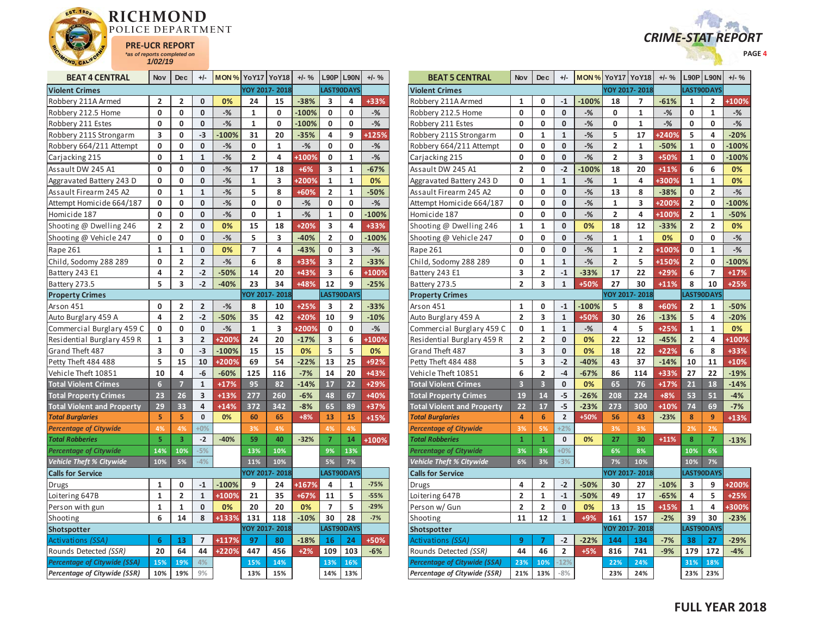



| <b>BEAT 4 CENTRAL</b>               | <b>Nov</b>     | <b>Dec</b>     | +/-            | <b>MON % YoY17 YoY18</b> |                         |                      | $+/-$ % |                | $L90P$ L90N             | $+/-$ % |
|-------------------------------------|----------------|----------------|----------------|--------------------------|-------------------------|----------------------|---------|----------------|-------------------------|---------|
| <b>Violent Crimes</b>               |                |                |                |                          |                         | <b>YOY 2017-2018</b> |         |                | LAST90DAYS              |         |
| Robbery 211A Armed                  | 2              | 2              | 0              | 0%                       | 24                      | 15                   | $-38%$  | 3              | 4                       | +33%    |
| Robbery 212.5 Home                  | 0              | 0              | 0              | $-$ %                    | $\mathbf{1}$            | 0                    | $-100%$ | 0              | 0                       | $-%$    |
| Robbery 211 Estes                   | 0              | 0              | 0              | $-%$                     | $\mathbf{1}$            | 0                    | $-100%$ | 0              | 0                       | $-%$    |
| Robbery 211S Strongarm              | 3              | 0              | $-3$           | $-100%$                  | 31                      | 20                   | $-35%$  | 4              | 9                       | +125%   |
| Robbery 664/211 Attempt             | 0              | 0              | 0              | $-\frac{9}{6}$           | 0                       | $\mathbf{1}$         | $-$ %   | 0              | 0                       | $-%$    |
| Carjacking 215                      | 0              | $\overline{1}$ | $\mathbf{1}$   | $-%$                     | $\overline{\mathbf{c}}$ | 4                    | +100%   | 0              | $\mathbf{1}$            | $-%$    |
| Assault DW 245 A1                   | 0              | 0              | 0              | $-%$                     | 17                      | 18                   | $+6%$   | 3              | 1                       | $-67%$  |
| Aggravated Battery 243 D            | 0              | 0              | 0              | $-%$                     | $\mathbf 1$             | 3                    | +200%   | 1              | $\mathbf{1}$            | 0%      |
| Assault Firearm 245 A2              | 0              | 1              | $\mathbf 1$    | $-%$                     | 5                       | 8                    | +60%    | 2              | 1                       | $-50%$  |
| Attempt Homicide 664/187            | 0              | 0              | 0              | $-$ %                    | 0                       | 0                    | -%      | 0              | 0                       | $-%$    |
| Homicide 187                        | 0              | 0              | 0              | $-%$                     | 0                       | $\mathbf{1}$         | $-%$    | 1              | 0                       | $-100%$ |
| Shooting @ Dwelling 246             | $\overline{2}$ | $\overline{2}$ | 0              | 0%                       | 15                      | 18                   | +20%    | 3              | 4                       | +33%    |
| Shooting @ Vehicle 247              | 0              | 0              | 0              | $-$ %                    | 5                       | 3                    | $-40%$  | 2              | 0                       | $-100%$ |
| Rape 261                            | 1              | 1              | 0              | 0%                       | 7                       | 4                    | $-43%$  | 0              | 3                       | $-%$    |
| Child, Sodomy 288 289               | 0              | 2              | $\overline{2}$ | $-$ %                    | 6                       | 8                    | $+33%$  | 3              | $\overline{\mathbf{2}}$ | $-33%$  |
| Battery 243 E1                      | 4              | 2              | $-2$           | $-50%$                   | 14                      | 20                   | +43%    | 3              | 6                       | +100%   |
| Battery 273.5                       | 5              | 3              | $-2$           | $-40%$                   | 23                      | 34                   | +48%    | 12             | 9                       | $-25%$  |
| <b>Property Crimes</b>              |                |                |                |                          |                         | YOY 2017-2018        |         | LAST90DAYS     |                         |         |
| Arson 451                           | 0              | 2              | 2              | $-%$                     | 8                       | 10                   | $+25%$  | 3              | 2                       | $-33%$  |
| Auto Burglary 459 A                 | 4              | $\overline{2}$ | $-2$           | $-50%$                   | 35                      | 42                   | $+20%$  | 10             | 9                       | $-10%$  |
| Commercial Burglary 459 C           | 0              | 0              | 0              | $-%$                     | $\mathbf{1}$            | 3                    | +200%   | 0              | 0                       | $-%$    |
| Residential Burglary 459 R          | 1              | 3              | $\overline{2}$ | +200%                    | 24                      | 20                   | $-17%$  | 3              | 6                       | +100%   |
| Grand Theft 487                     | 3              | 0              | $-3$           | $-100%$                  | 15                      | 15                   | 0%      | 5              | 5                       | 0%      |
| Petty Theft 484 488                 | 5              | 15             | 10             | +200%                    | 69                      | 54                   | $-22%$  | 13             | 25                      | +92%    |
| Vehicle Theft 10851                 | 10             | 4              | -6             | $-60%$                   | 125                     | 116                  | $-7%$   | 14             | 20                      | +43%    |
| <b>Total Violent Crimes</b>         | 6              | 7              | $\mathbf{1}$   | $+17%$                   | 95                      | 82                   | $-14%$  | 17             | 22                      | $+29%$  |
| <b>Total Property Crimes</b>        | 23             | 26             | 3              | $+13%$                   | 277                     | 260                  | $-6%$   | 48             | 67                      | +40%    |
| <b>Total Violent and Property</b>   | 29             | 33             | 4              | $+14%$                   | 372                     | 342                  | $-8%$   | 65             | 89                      | +37%    |
| <b>Total Burglaries</b>             | 5              | 5              | $\bf{0}$       | 0%                       | 60                      | 65                   | $+8%$   | 13             | 15                      | $+15%$  |
| <b>Percentage of Citywide</b>       | 4%             | 4%             | $+0%$          |                          | 3%                      | 4%                   |         | 4%             | 4%                      |         |
| <b>Total Robberies</b>              | 5              | 3              | $-2$           | $-40%$                   | 59                      | 40                   | $-32%$  | $\overline{7}$ | 14                      | +100%   |
| Percentage of Citywide              | 14%            | 10%            | $-5%$          |                          | 13%                     | 10%                  |         | 9%             | 13%                     |         |
| Vehicle Theft % Citywide            | 10%            | 5%             | $-4%$          |                          | 11%                     | 10%                  |         | 5%             | 7%                      |         |
| <b>Calls for Service</b>            |                |                |                |                          |                         | YOY 2017-2018        |         |                | LAST90DAYS              |         |
| Drugs                               | 1              | 0              | $-1$           | $-100%$                  | 9                       | 24                   | +167%   | 4              | 1                       | $-75%$  |
| Loitering 647B                      | $\mathbf{1}$   | 2              | $\mathbf{1}$   | +100%                    | 21                      | 35                   | $+67%$  | 11             | 5                       | $-55%$  |
| Person with gun                     | 1              | 1              | 0              | 0%                       | 20                      | 20                   | 0%      | 7              | 5                       | $-29%$  |
| Shooting                            | 6              | 14             | 8              | +133%                    | 131                     | 118                  | $-10%$  | 30             | 28                      | $-7%$   |
| Shotspotter                         |                |                |                |                          |                         | YOY 2017-2018        |         |                | LAST90DAYS              |         |
| Activations (SSA)                   | 6              | 13             | $\overline{7}$ | +117%                    | 97                      | 80                   | $-18%$  | 16             | 24                      | +50%    |
| Rounds Detected (SSR)               | 20             | 64             | 44             | +220%                    | 447                     | 456                  | $+2%$   | 109            | 103                     | $-6%$   |
| <b>Percentage of Citywide (SSA)</b> | 15%            | 19%            | 4%             |                          | 15%                     | 14%                  |         | 13%            | 16%                     |         |
| Percentage of Citywide (SSR)        | 10%            | 19%            | 9%             |                          | 13%                     | 15%                  |         | 14%            | 13%                     |         |

| <b>BEAT 5 CENTRAL</b>             | <b>Nov</b>              | <b>Dec</b>              | $+/-$                   | <b>MON % YoY17 YoY18</b> |                         |               | $+/-$ % |                         | $L90P$   L90N  | $+/-$ % |
|-----------------------------------|-------------------------|-------------------------|-------------------------|--------------------------|-------------------------|---------------|---------|-------------------------|----------------|---------|
| <b>Violent Crimes</b>             |                         |                         |                         |                          |                         | YOY 2017-2018 |         |                         | LAST90DAYS     |         |
| Robbery 211A Armed                | 1                       | 0                       | $-1$                    | $-100%$                  | 18                      | 7             | $-61%$  | 1                       | 2              | +100%   |
| Robbery 212.5 Home                | 0                       | 0                       | 0                       | $-%$                     | 0                       | 1             | $-%$    | 0                       | 1              | $-$ %   |
| Robbery 211 Estes                 | 0                       | 0                       | 0                       | $-$ %                    | 0                       | 1             | $-$ %   | 0                       | 0              | $-$ %   |
| Robbery 211S Strongarm            | 0                       | $\mathbf{1}$            | $\mathbf{1}$            | $-$ %                    | 5                       | 17            | +240%   | 5                       | 4              | $-20%$  |
| Robbery 664/211 Attempt           | 0                       | $\mathbf 0$             | 0                       | $-%$                     | $\overline{2}$          | 1             | $-50%$  | $\overline{1}$          | 0              | $-100%$ |
| Carjacking 215                    | 0                       | 0                       | 0                       | $-%$                     | 2                       | 3             | +50%    | $\mathbf{1}$            | 0              | $-100%$ |
| Assault DW 245 A1                 | 2                       | 0                       | $-2$                    | $-100%$                  | 18                      | 20            | $+11%$  | 6                       | 6              | 0%      |
| Aggravated Battery 243 D          | 0                       | 1                       | $\mathbf{1}$            | $-$ %                    | 1                       | 4             | +300%   | $\mathbf{1}$            | 1              | 0%      |
| Assault Firearm 245 A2            | 0                       | $\mathbf{0}$            | 0                       | $-$ %                    | 13                      | 8             | $-38%$  | 0                       | 2              | $-$ %   |
| Attempt Homicide 664/187          | 0                       | 0                       | 0                       | $-$ %                    | 1                       | 3             | +200%   | 2                       | 0              | $-100%$ |
| Homicide 187                      | 0                       | 0                       | 0                       | $-$ %                    | $\overline{2}$          | 4             | +100%   | $\overline{2}$          | 1              | $-50%$  |
| Shooting @ Dwelling 246           | 1                       | 1                       | 0                       | 0%                       | 18                      | 12            | $-33%$  | 2                       | 2              | 0%      |
| Shooting @ Vehicle 247            | 0                       | 0                       | 0                       | $-%$                     | $\mathbf{1}$            | 1             | 0%      | 0                       | 0              | $-$ %   |
| Rape 261                          | 0                       | 0                       | 0                       | $-%$                     | 1                       | 2             | +100%   | 0                       | 1              | $-%$    |
| Child, Sodomy 288 289             | 0                       | $\mathbf{1}$            | $\mathbf{1}$            | $-%$                     | $\overline{\mathbf{2}}$ | 5             | +150%   | $\overline{\mathbf{c}}$ | 0              | $-100%$ |
| Battery 243 E1                    | 3                       | $\overline{2}$          | $-1$                    | $-33%$                   | 17                      | 22            | +29%    | 6                       | 7              | $+17%$  |
| Battery 273.5                     | $\overline{2}$          | 3                       | $\mathbf{1}$            | +50%                     | 27                      | 30            | $+11%$  | 8                       | 10             | $+25%$  |
| <b>Property Crimes</b>            |                         |                         |                         |                          |                         | YOY 2017-2018 |         |                         | LAST90DAYS     |         |
| Arson 451                         | 1                       | 0                       | $-1$                    | $-100%$                  | 5                       | 8             | +60%    | $\overline{\mathbf{c}}$ | 1              | $-50%$  |
| Auto Burglary 459 A               | $\overline{2}$          | 3                       | $\mathbf{1}$            | +50%                     | 30                      | 26            | $-13%$  | 5                       | 4              | $-20%$  |
| Commercial Burglary 459 C         | 0                       | $\mathbf{1}$            | $\mathbf{1}$            | $-%$                     | 4                       | 5             | $+25%$  | $\mathbf{1}$            | 1              | 0%      |
| Residential Burglary 459 R        | $\overline{\mathbf{c}}$ | $\overline{2}$          | 0                       | 0%                       | 22                      | 12            | $-45%$  | $\overline{\mathbf{c}}$ | 4              | +100%   |
| Grand Theft 487                   | 3                       | 3                       | 0                       | 0%                       | 18                      | 22            | $+22%$  | 6                       | 8              | +33%    |
| Petty Theft 484 488               | 5                       | 3                       | $-2$                    | $-40%$                   | 43                      | 37            | $-14%$  | 10                      | 11             | $+10%$  |
| Vehicle Theft 10851               | 6                       | $\overline{\mathbf{c}}$ | $-4$                    | $-67%$                   | 86                      | 114           | +33%    | 27                      | 22             | $-19%$  |
| <b>Total Violent Crimes</b>       | $\overline{\mathbf{3}}$ | $\overline{\mathbf{3}}$ | 0                       | 0%                       | 65                      | 76            | $+17%$  | 21                      | 18             | $-14%$  |
| <b>Total Property Crimes</b>      | 19                      | 14                      | $-5$                    | $-26%$                   | 208                     | 224           | $+8%$   | 53                      | 51             | $-4%$   |
| <b>Total Violent and Property</b> | 22                      | 17                      | -5                      | $-23%$                   | 273                     | 300           | $+10%$  | 74                      | 69             | $-7%$   |
| <b>Total Burglaries</b>           | $\overline{\mathbf{4}}$ | $6\phantom{a}$          | $\overline{\mathbf{c}}$ | +50%                     | 56                      | 43            | $-23%$  | 8                       | 9              | $+13%$  |
| <b>Percentage of Citywide</b>     | 3%                      | 5%                      | $+2%$                   |                          | 3%                      | 3%            |         | 2%                      | 2%             |         |
| <b>Total Robberies</b>            | $\mathbf{1}$            | $\mathbf{1}$            | 0                       | 0%                       | 27                      | 30            | $+11%$  | 8                       | $\overline{7}$ | $-13%$  |
| Percentage of Citywide            | 3%                      | 3%                      | $+0%$                   |                          | 6%                      | 8%            |         | 10%                     | 6%             |         |
| <b>Vehicle Theft % Citywide</b>   | 6%                      | 3%                      | $-3%$                   |                          | 7%                      | 10%           |         | 10%                     | 7%             |         |
| <b>Calls for Service</b>          |                         |                         |                         |                          |                         | YOY 2017-2018 |         |                         | LAST90DAYS     |         |
| Drugs                             | 4                       | $\overline{\mathbf{c}}$ | $-2$                    | $-50%$                   | 30                      | 27            | $-10%$  | 3                       | 9              | +200%   |
| Loitering 647B                    | $\overline{2}$          | 1                       | $-1$                    | $-50%$                   | 49                      | 17            | $-65%$  | 4                       | 5              | $+25%$  |
| Person w/ Gun                     | 2                       | $\overline{\mathbf{2}}$ | 0                       | 0%                       | 13                      | 15            | +15%    | 1                       | 4              | +300%   |
| Shooting                          | 11                      | 12                      | $\mathbf{1}$            | +9%                      | 161                     | 157           | $-2%$   | 39                      | 30             | $-23%$  |
| Shotspotter                       |                         |                         |                         |                          |                         | YOY 2017-2018 |         |                         | LAST90DAYS     |         |
| Activations (SSA)                 | 9                       | $\overline{7}$          | $-2$                    | $-22%$                   | 144                     | 134           | $-7%$   | 38                      | 27             | $-29%$  |
| Rounds Detected (SSR)             | 44                      | 46                      | $\overline{\mathbf{2}}$ | $+5%$                    | 816                     | 741           | $-9%$   | 179                     | 172            | $-4%$   |
| Percentage of Citywide (SSA)      | 23%                     | 10%                     | $-12%$                  |                          | 22%                     | 24%           |         | 31%                     | 18%            |         |
| Percentage of Citywide (SSR)      | 21%                     | 13%                     | $-8%$                   |                          | 23%                     | 24%           |         | 23%                     | 23%            |         |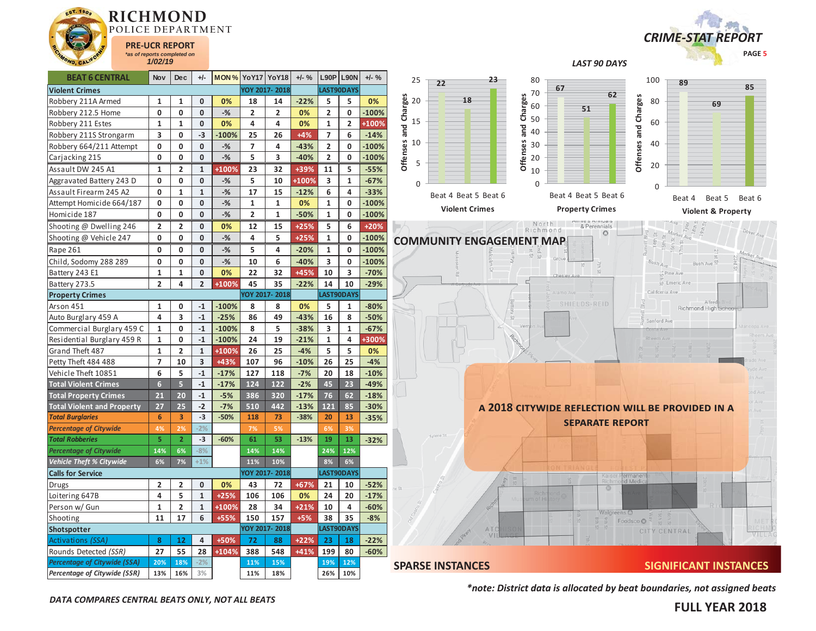



*LAST 90 DAYS* 

| <b>BEAT 6 CENTRAL</b>               | <b>Nov</b>               | <b>Dec</b>              | +/-            | <b>MON % YoY17 YoY18</b> |                |                | $+/-$ % |                | <b>L90P L90N</b>        | $+/-$ % |                      |
|-------------------------------------|--------------------------|-------------------------|----------------|--------------------------|----------------|----------------|---------|----------------|-------------------------|---------|----------------------|
| <b>Violent Crimes</b>               |                          |                         |                |                          |                | YOY 2017-2018  |         |                | LAST90DAYS              |         |                      |
| Robbery 211A Armed                  | 1                        | 1                       | 0              | 0%                       | 18             | 14             | $-22%$  | 5              | 5                       | 0%      | Offenses and Charges |
| Robbery 212.5 Home                  | 0                        | 0                       | 0              | $-$ %                    | $\overline{2}$ | $\overline{2}$ | 0%      | $\overline{2}$ | 0                       | $-100%$ |                      |
| Robbery 211 Estes                   | 1                        | 1                       | 0              | 0%                       | 4              | 4              | 0%      | 1              | $\overline{\mathbf{c}}$ | +100%   |                      |
| Robbery 211S Strongarm              | 3                        | 0                       | $-3$           | $-100%$                  | 25             | 26             | $+4%$   | $\overline{7}$ | 6                       | $-14%$  |                      |
| Robbery 664/211 Attempt             | 0                        | 0                       | 0              | $-$ %                    | 7              | 4              | $-43%$  | $\overline{2}$ | 0                       | $-100%$ |                      |
| Carjacking 215                      | 0                        | 0                       | 0              | $-$ %                    | 5              | 3              | $-40%$  | $\overline{2}$ | 0                       | $-100%$ |                      |
| Assault DW 245 A1                   | 1                        | 2                       | 1              | +100%                    | 23             | 32             | +39%    | 11             | 5                       | $-55%$  |                      |
| Aggravated Battery 243 D            | 0                        | 0                       | 0              | $-$ %                    | 5              | 10             | +100%   | 3              | $\mathbf{1}$            | $-67%$  |                      |
| Assault Firearm 245 A2              | 0                        | 1                       | 1              | $-$ %                    | 17             | 15             | $-12%$  | 6              | 4                       | $-33%$  |                      |
| Attempt Homicide 664/187            | 0                        | 0                       | 0              | $-$ %                    | 1              | 1              | 0%      | 1              | 0                       | $-100%$ |                      |
| Homicide 187                        | 0                        | 0                       | 0              | $-$ %                    | 2              | 1              | $-50%$  | 1              | 0                       | $-100%$ |                      |
| Shooting @ Dwelling 246             | 2                        | 2                       | 0              | 0%                       | 12             | 15             | $+25%$  | 5              | 6                       | $+20%$  |                      |
| Shooting @ Vehicle 247              | 0                        | 0                       | 0              | $-%$                     | 4              | 5              | $+25%$  | $\mathbf{1}$   | 0                       | $-100%$ | CO                   |
| Rape 261                            | 0                        | 0                       | $\bf{0}$       | $-$ %                    | 5              | 4              | $-20%$  | 1              | 0                       | $-100%$ |                      |
| Child, Sodomy 288 289               | 0                        | 0                       | 0              | $-$ %                    | 10             | 6              | $-40%$  | 3              | 0                       | $-100%$ |                      |
| Battery 243 E1                      | $\mathbf 1$              | $\mathbf{1}$            | 0              | 0%                       | 22             | 32             | +45%    | 10             | 3                       | $-70%$  |                      |
| Battery 273.5                       | $\overline{\mathbf{2}}$  | 4                       | $\overline{2}$ | +100%                    | 45             | 35             | $-22%$  | 14             | 10                      | $-29%$  |                      |
| <b>Property Crimes</b>              |                          |                         |                |                          |                | YOY 2017-2018  |         |                | LAST90DAYS              |         |                      |
| Arson 451                           | 1                        | 0                       | $-1$           | $-100%$                  | 8              | 8              | 0%      | 5              | 1                       | $-80%$  |                      |
| Auto Burglary 459 A                 | 4                        | 3                       | $-1$           | $-25%$                   | 86             | 49             | $-43%$  | 16             | 8                       | $-50%$  |                      |
| Commercial Burglary 459 C           | $\mathbf{1}$             | 0                       | $-1$           | $-100%$                  | 8              | 5              | $-38%$  | 3              | $\mathbf{1}$            | $-67%$  |                      |
| Residential Burglary 459 R          | $\mathbf{1}$             | 0                       | $-1$           | $-100%$                  | 24             | 19             | $-21%$  | 1              | 4                       | +300%   |                      |
| Grand Theft 487                     | $\mathbf{1}$             | $\overline{2}$          | $\mathbf{1}$   | +100%                    | 26             | 25             | $-4%$   | 5              | 5                       | 0%      |                      |
| Petty Theft 484 488                 | $\overline{\phantom{a}}$ | 10                      | 3              | +43%                     | 107            | 96             | $-10%$  | 26             | 25                      | $-4%$   |                      |
| Vehicle Theft 10851                 | 6                        | 5                       | $-1$           | $-17%$                   | 127            | 118            | $-7%$   | 20             | 18                      | $-10%$  |                      |
| <b>Total Violent Crimes</b>         | $\overline{6}$           | 5                       | $-1$           | $-17%$                   | 124            | 122            | $-2%$   | 45             | 23                      | $-49%$  |                      |
| <b>Total Property Crimes</b>        | 21                       | 20                      | $-1$           | $-5%$                    | 386            | 320            | $-17%$  | 76             | 62                      | $-18%$  |                      |
| <b>Total Violent and Property</b>   | 27                       | 25                      | $-2$           | $-7%$                    | 510            | 442            | $-13%$  | 121            | 85                      | $-30%$  |                      |
| <b>Total Burglaries</b>             | 6                        | 3                       | $-3$           | $-50%$                   | 118            | 73             | $-38%$  | 20             | 13                      | $-35%$  |                      |
| <b>Percentage of Citywide</b>       | 4%                       | 2%                      | $-2%$          |                          | 7%             | 5%             |         | 6%             | 3%                      |         |                      |
| <b>Total Robberies</b>              | 5                        | $\overline{2}$          | $-3$           | $-60%$                   | 61             | 53             | $-13%$  | 19             | 13                      | $-32%$  |                      |
| <b>Percentage of Citywide</b>       | 14%                      | 6%                      | $-8%$          |                          | 14%            | 14%            |         | 24%            | 12%                     |         |                      |
| Vehicle Theft % Citywide            | 6%                       | 7%                      | $+1%$          |                          | 11%            | 10%            |         | 8%             | 6%                      |         |                      |
| <b>Calls for Service</b>            |                          |                         |                |                          |                | YOY 2017-2018  |         |                | LAST90DAYS              |         |                      |
| Drugs                               | $\overline{\mathbf{c}}$  | $\overline{\mathbf{c}}$ | 0              | 0%                       | 43             | 72             | +67%    | 21             | 10                      | $-52%$  | te St                |
| Loitering 647B                      | 4                        | 5                       | $\mathbf{1}$   | $+25%$                   | 106            | 106            | 0%      | 24             | 20                      | $-17%$  |                      |
| Person w/ Gun                       | 1                        | 2                       | 1              | +100%                    | 28             | 34             | $+21%$  | 10             | 4                       | $-60%$  |                      |
| Shooting                            | 11                       | 17                      | 6              | +55%                     | 150            | 157            | $+5%$   | 38             | 35                      | $-8%$   |                      |
| Shotspotter                         |                          |                         |                |                          |                | YOY 2017-2018  |         |                | LAST90DAYS              |         |                      |
| <b>Activations (SSA)</b>            | 8                        | 12                      | 4              | +50%                     | 72             | 88             | $+22%$  | 23             | 18                      | $-22%$  |                      |
| Rounds Detected (SSR)               | 27                       | 55                      | 28             | +104%                    | 388            | 548            | $+41%$  | 199            | 80                      | $-60%$  |                      |
| <b>Percentage of Citywide (SSA)</b> | 20%                      | 18%                     | $-2%$          |                          | 11%            | 15%            |         | 19%            | 12%                     |         | <b>SP</b>            |
| Percentage of Citywide (SSR)        | 13%                      | 16%                     | 3%             |                          | 11%            | 18%            |         | 26%            | 10%                     |         |                      |



*\*note: District data is allocated by beat boundaries, not assigned beats*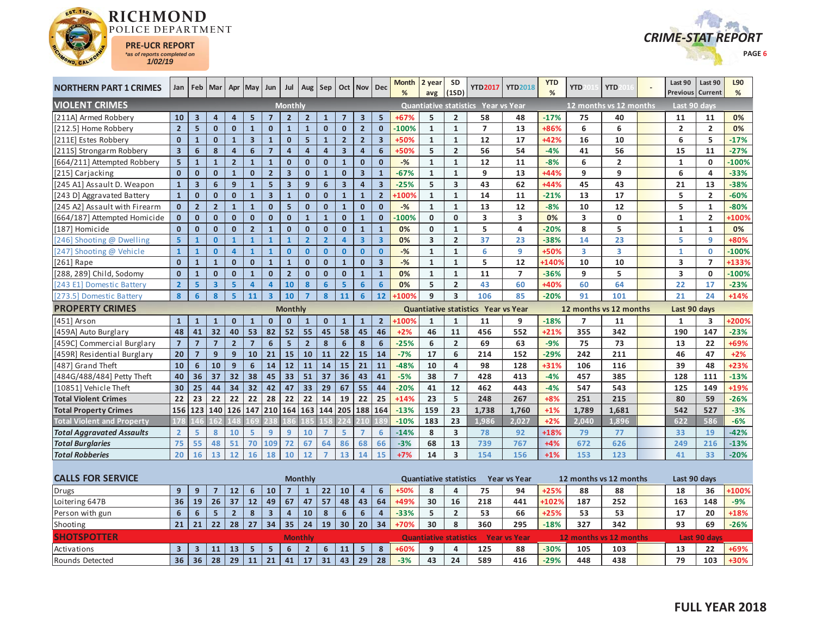



| <b>NORTHERN PART 1 CRIMES</b>     | Jan                     |                         | Feb   Mar   Apr   May   Jun |                         |                         |                         | Jul                     | Aug                     | <b>Sep</b>              |                         | Oct   Nov   Dec         |                         | Month<br>% | 2 year<br>avg                 | <b>SD</b><br>(1SD)      | <b>YTD2017</b>                             | <b>YTD2018</b>      | <b>YTD</b><br>% | <b>YTD</b>              | <b>YTD</b>              | Last 90<br><b>Previous</b> | Last 90<br>Current  | L90<br>% |
|-----------------------------------|-------------------------|-------------------------|-----------------------------|-------------------------|-------------------------|-------------------------|-------------------------|-------------------------|-------------------------|-------------------------|-------------------------|-------------------------|------------|-------------------------------|-------------------------|--------------------------------------------|---------------------|-----------------|-------------------------|-------------------------|----------------------------|---------------------|----------|
| <b>VIOLENT CRIMES</b>             |                         |                         |                             |                         |                         |                         | <b>Monthly</b>          |                         |                         |                         |                         |                         |            |                               |                         | Quantiative statistics Year vs Year        |                     |                 |                         | 12 months vs 12 months  | Last 90 days               |                     |          |
| [211A] Armed Robbery              | 10                      | $\overline{\mathbf{3}}$ | $\overline{4}$              | $\overline{4}$          | 5                       | $\overline{7}$          | 2 <sup>2</sup>          | $\overline{2}$          | $\mathbf{1}$            | $\overline{7}$          | $\overline{3}$          | $5\overline{5}$         | $+67%$     | 5                             | $\overline{2}$          | 58                                         | 48                  | $-17%$          | 75                      | 40                      | 11                         | 11                  | 0%       |
| [212.5] Home Robbery              | $\overline{2}$          | 5                       | $\mathbf{0}$                | $\mathbf{0}$            | $\mathbf{1}$            | $\mathbf{0}$            | $\mathbf{1}$            | $\mathbf{1}$            | $\mathbf{0}$            | $\mathbf{0}$            | $\overline{2}$          | $\mathbf{0}$            | $-100%$    | $\mathbf{1}$                  | $\mathbf{1}$            | $\overline{7}$                             | 13                  | +86%            | 6                       | 6                       | $\overline{2}$             | $\overline{2}$      | 0%       |
| [211E] Estes Robbery              | $\mathbf{0}$            | $\mathbf{1}$            | $\mathbf{0}$                | $\mathbf{1}$            | $\overline{\mathbf{3}}$ | $\mathbf{1}$            | $\mathbf{0}$            | 5 <sup>1</sup>          | $\mathbf{1}$            | 2 <sup>1</sup>          | $\overline{2}$          | $\overline{\mathbf{3}}$ | +50%       | $\mathbf{1}$                  | $\mathbf{1}$            | 12                                         | 17                  | $+42%$          | 16                      | 10                      | 6                          | 5                   | $-17%$   |
| [211S] Strongarm Robbery          | $\overline{\mathbf{3}}$ | $6\phantom{a}$          | 8                           | $\overline{\mathbf{4}}$ | $6\phantom{a}$          | $\overline{7}$          | $\overline{\mathbf{4}}$ | $\overline{\mathbf{4}}$ | $\overline{\mathbf{4}}$ | $\overline{\mathbf{3}}$ | $\overline{\mathbf{4}}$ | 6                       | +50%       | 5                             | $\overline{2}$          | 56                                         | 54                  | $-4%$           | 41                      | 56                      | 15                         | 11                  | $-27%$   |
| [664/211] Attempted Robbery       | 5                       | $\mathbf{1}$            | $\overline{1}$              | $\overline{\mathbf{c}}$ | $\mathbf{1}$            | $\overline{\mathbf{1}}$ | $\mathbf 0$             | $\mathbf 0$             | $\mathbf{0}$            | $\overline{1}$          | $\mathbf{0}$            | $\mathbf{0}$            | $-9/6$     | $\mathbf{1}$                  | $\mathbf{1}$            | 12                                         | 11                  | $-8%$           | 6                       | $\mathbf 2$             | $\mathbf{1}$               | $\mathbf{0}$        | $-100%$  |
| [215] Carjacking                  | $\mathbf{0}$            | $\mathbf{0}$            | $\mathbf{0}$                | $\mathbf{1}$            | $\mathbf{0}$            | $\mathbf 2$             | $\overline{\mathbf{3}}$ | $\mathbf{0}$            | $\mathbf{1}$            | $\mathbf{0}$            | $\overline{\mathbf{3}}$ | $\mathbf{1}$            | $-67%$     | $\mathbf{1}$                  | $\mathbf{1}$            | 9                                          | 13                  | +44%            | 9                       | 9                       | 6                          | 4                   | $-33%$   |
| [245 A1] Assault D. Weapon        | $\mathbf 1$             | $\overline{\mathbf{3}}$ | $6\phantom{1}$              | 9                       | $\mathbf{1}$            | 5                       | $\overline{\mathbf{3}}$ | 9                       | 6                       | 3 <sup>1</sup>          | $\overline{\mathbf{a}}$ | $\overline{\mathbf{3}}$ | $-25%$     | 5                             | 3                       | 43                                         | 62                  | $+44%$          | 45                      | 43                      | 21                         | 13                  | $-38%$   |
| [243 D] Aggravated Battery        | $\mathbf{1}$            | $\mathbf{0}$            | $\mathbf{0}$                | $\mathbf{0}$            | $\mathbf{1}$            | $\overline{\mathbf{3}}$ | $\overline{1}$          | $\mathbf{0}$            | $\mathbf{0}$            | $\mathbf{1}$            | $\mathbf{1}$            | $\overline{2}$          | +100%      | $\mathbf{1}$                  | $\mathbf{1}$            | 14                                         | 11                  | $-21%$          | 13                      | 17                      | 5                          | $\overline{2}$      | $-60%$   |
| [245 A2] Assault with Firearm     | $\mathbf 0$             | $\overline{2}$          | $\overline{2}$              | $\mathbf{1}$            | $\mathbf{1}$            | $\mathbf{0}$            | 5                       | $\mathbf{0}$            | $\mathbf{0}$            | $\mathbf{1}$            | $\mathbf{0}$            | $\mathbf{0}$            | $-%$       | $\mathbf{1}$                  | $\mathbf{1}$            | 13                                         | 12                  | $-8%$           | 10                      | 12                      | 5                          | $\mathbf{1}$        | $-80%$   |
| [664/187] Attempted Homicide      | $\mathbf{0}$            | $\mathbf{0}$            | $\mathbf{0}$                | $\mathbf{0}$            | $\mathbf{0}$            | $\mathbf{0}$            | $\mathbf{0}$            | $\mathbf{1}$            | $\mathbf{1}$            | $\mathbf{0}$            | $\mathbf{1}$            | $\mathbf{0}$            | $-100%$    | $\mathbf 0$                   | $\mathbf{0}$            | 3                                          | 3                   | 0%              | 3                       | 0                       | $\mathbf{1}$               | $\overline{2}$      | +100%    |
| [187] Homicide                    | $\mathbf{0}$            | $\mathbf{0}$            | $\mathbf{0}$                | $\mathbf{0}$            | $\overline{2}$          | $\mathbf{1}$            | $\mathbf{0}$            | $\mathbf{0}$            | $\mathbf{0}$            | $\mathbf{0}$            | $\mathbf{1}$            | $\mathbf{1}$            | 0%         | $\mathbf{0}$                  | $\mathbf{1}$            | 5                                          | 4                   | $-20%$          | 8                       | 5                       | $\mathbf{1}$               | $\mathbf{1}$        | 0%       |
| [246] Shooting @ Dwelling         | $\overline{5}$          | $\mathbf{1}$            | $\mathbf{0}$                | $\mathbf{1}$            | $\mathbf{1}$            | $\mathbf{1}$            | $\mathbf{1}$            | $\overline{2}$          | $\overline{2}$          | $\overline{4}$          | $\overline{\mathbf{3}}$ | $\overline{\mathbf{3}}$ | 0%         | 3                             | $\overline{2}$          | 37                                         | 23                  | $-38%$          | 14                      | 23                      | 5                          | 9                   | +80%     |
| [247] Shooting @ Vehicle          | $\mathbf{1}$            | $\mathbf{1}$            | $\mathbf{0}$                | $\overline{\mathbf{4}}$ | $\mathbf{1}$            | $\mathbf{1}$            | $\mathbf{0}$            | $\mathbf{0}$            | $\mathbf{0}$            | $\overline{0}$          | $\mathbf{0}$            | $\mathbf{0}$            | $-$ %      | $\mathbf{1}$                  | $\mathbf{1}$            | 6                                          | 9                   | +50%            | $\overline{\mathbf{3}}$ | $\overline{\mathbf{3}}$ | $\mathbf{1}$               | $\mathbf{0}$        | $-100%$  |
| [261] Rape                        | $\mathbf{0}$            | $\mathbf{1}$            | $\mathbf 1$                 | $\mathbf{0}$            | $\mathbf{0}$            | $\mathbf 1$             | $\mathbf 1$             | $\mathbf{0}$            | $\mathbf{0}$            | $\mathbf{1}$            | $\mathbf{0}$            | $\overline{\mathbf{3}}$ | $-9/6$     | $\mathbf{1}$                  | $\mathbf{1}$            | 5                                          | 12                  | +140%           | 10                      | 10                      | 3                          | $\overline{7}$      | +133%    |
| [288, 289] Child, Sodomy          | $\mathbf{0}$            | $\mathbf{1}$            | $\mathbf 0$                 | $\mathbf 0$             | $\mathbf{1}$            | $\mathbf{0}$            | $\overline{2}$          | $\mathbf 0$             | $\mathbf{0}$            | $\mathbf 0$             | $\mathbf{1}$            | $\mathbf{1}$            | 0%         | $\mathbf{1}$                  | $\mathbf{1}$            | 11                                         | $\overline{7}$      | $-36%$          | 9                       | 5                       | $\overline{\mathbf{3}}$    | $\mathbf 0$         | $-100%$  |
| [243 E1] Domestic Battery         | $\overline{2}$          | 5                       | $\overline{\mathbf{3}}$     | 5                       | $\overline{\mathbf{4}}$ | $\overline{\mathbf{4}}$ | 10                      | 8                       | $6\overline{6}$         | 5 <sup>1</sup>          | $6\overline{6}$         | 6                       | 0%         | 5                             | $\overline{2}$          | 43                                         | 60                  | +40%            | 60                      | 64                      | 22                         | 17                  | $-23%$   |
| [273.5] Domestic Battery          | 8                       | $6\phantom{1}$          | 8                           | $\overline{5}$          | 11                      | $\overline{\mathbf{3}}$ | 10                      | $\overline{z}$          | 8                       | 11                      | 6                       | 12                      | +100%      | 9                             | $\overline{\mathbf{3}}$ | 106                                        | 85                  | $-20%$          | 91                      | 101                     | 21                         | 24                  | $+14%$   |
| <b>PROPERTY CRIMES</b>            |                         |                         |                             |                         |                         |                         | <b>Monthly</b>          |                         |                         |                         |                         |                         |            |                               |                         | Quantiative statistics Year vs Year        |                     |                 |                         | 12 months vs 12 months  | Last 90 days               |                     |          |
| [451] Arson                       | $\mathbf{1}$            | $\mathbf{1}$            | $\mathbf{1}$                | $\mathbf{0}$            | $\mathbf{1}$            | $\mathbf{0}$            | $\mathbf{0}$            | 1                       | $\mathbf{0}$            | $\mathbf{1}$            | $\mathbf{1}$            | $\overline{2}$          | +100%      | $\mathbf{1}$                  | $\mathbf{1}$            | 11                                         | 9                   | $-18%$          | $\overline{7}$          | 11                      | $\mathbf{1}$               | 3                   | +200%    |
| [459A] Auto Burglary              | 48                      | 41                      | 32                          | 40                      | 53                      | 82                      | 52                      | 55                      | 45                      | 58                      | 45                      | 46                      | $+2%$      | 46                            | 11                      | 456                                        | 552                 | $+21%$          | 355                     | 342                     | 190                        | 147                 | $-23%$   |
| [459C] Commercial Burglary        | $\overline{7}$          | $\overline{7}$          | $\overline{7}$              | $\overline{\mathbf{2}}$ | $\overline{7}$          | $\boldsymbol{6}$        | 5                       | $\overline{2}$          | 8                       | 6                       | 8                       | 6                       | $-25%$     | 6                             | $\overline{2}$          | 69                                         | 63                  | $-9%$           | 75                      | 73                      | 13                         | 22                  | +69%     |
| [459R] Residential Burglary       | 20                      | $\overline{7}$          | 9                           | 9                       | 10                      | 21                      | 15                      | 10                      | 11                      | 22                      | 15                      | 14                      | $-7%$      | 17                            | 6                       | 214                                        | 152                 | $-29%$          | 242                     | 211                     | 46                         | 47                  | $+2%$    |
| [487] Grand Theft                 | 10                      | 6                       | 10                          | 9                       | 6                       | 14                      | 12                      | 11                      | 14                      | 15                      | 21                      | 11                      | $-48%$     | 10                            | 4                       | 98                                         | 128                 | +31%            | 106                     | 116                     | 39                         | 48                  | $+23%$   |
| [484G/488/484] Petty Theft        | 40                      | 36                      | 37                          | 32                      | 38                      | 45                      | $\overline{33}$         | 51                      | 37                      | 36                      | 43                      | 41                      | $-5%$      | 38                            | $\overline{7}$          | 428                                        | 413                 | $-4%$           | 457                     | 385                     | 128                        | 111                 | $-13%$   |
| [10851] Vehicle Theft             | 30                      | 25                      | 44                          | 34                      | 32                      | 42                      | 47                      | 33                      | 29                      | 67                      | 55                      | 44                      | $-20%$     | 41                            | 12                      | 462                                        | 443                 | $-4%$           | 547                     | 543                     | 125                        | 149                 | +19%     |
| <b>Total Violent Crimes</b>       | 22                      | 23                      | 22                          | 22                      | 22                      | 28                      | 22                      | 22                      | 14                      | 19                      | 22                      | 25                      | $+14%$     | 23                            | 5                       | 248                                        | 267                 | $+8%$           | 251                     | 215                     | 80                         | 59                  | $-26%$   |
| <b>Total Property Crimes</b>      | 156                     | 123                     | 140                         | 126                     | 147                     | 210                     | 164                     | 163                     | 144                     | 205                     | 188 164                 |                         | $-13%$     | 159                           | 23                      | 1,738                                      | 1,760               | $+1%$           | 1,789                   | 1,681                   | 542                        | 527                 | $-3%$    |
| <b>Total Violent and Property</b> | 178                     | $\overline{4}$          | 162                         |                         | 69                      | 238                     |                         |                         |                         |                         |                         |                         | $-10%$     | 183                           | 23                      | 1,986                                      | 2,027               | $+2%$           | 2,040                   | 1,896                   | 622                        | 586                 | $-6%$    |
| <b>Total Aggravated Assaults</b>  | $\overline{2}$          | 5                       | 8                           | 10                      | 5                       | $\overline{9}$          | 9                       | 10                      | $\overline{7}$          | 5                       | $\overline{7}$          | 6                       | $-14%$     | 8                             | $\overline{\mathbf{3}}$ | 78                                         | 92                  | +18%            | 79                      | 77                      | 33                         | 19                  | $-42%$   |
| <b>Total Burglaries</b>           | 75                      | 55                      | 48                          | 51                      | 70                      | 109                     | 72                      | 67                      | 64                      | 86                      | 68                      | 66                      | $-3%$      | 68                            | 13                      | 739                                        | 767                 | $+4%$           | 672                     | 626                     | 249                        | 216                 | $-13%$   |
| <b>Total Robberies</b>            | 20                      | 16                      | 13                          | 12                      | 16                      | 18                      | 10                      | 12                      | $\overline{7}$          | 13                      | 14                      | 15                      | $+7%$      | 14                            | $\overline{\mathbf{3}}$ | 154                                        | 156                 | $+1%$           | 153                     | 123                     | 41                         | 33                  | $-20%$   |
|                                   |                         |                         |                             |                         |                         |                         |                         |                         |                         |                         |                         |                         |            |                               |                         |                                            |                     |                 |                         |                         |                            |                     |          |
| <b>CALLS FOR SERVICE</b>          |                         |                         |                             |                         |                         |                         |                         | <b>Monthly</b>          |                         |                         |                         |                         |            | <b>Quantiative statistics</b> |                         |                                            | <b>Year vs Year</b> |                 |                         | 12 months vs 12 months  | Last 90 days               |                     |          |
| Drugs                             | 9                       | 9                       | $\overline{7}$              | 12                      | 6                       | 10                      | $\overline{7}$          | $\mathbf{1}$            | 22                      | 10                      | $\overline{4}$          | 6                       | +50%       | 8                             | 4                       | 75                                         | 94                  | $+25%$          | 88                      | 88                      | 18                         | 36                  | +100%    |
| Loitering 647B                    | 36                      | 19                      | 26                          | 37                      | 12                      | 49                      | 67                      | 47                      | 57                      | 48                      | 43                      | 64                      | +49%       | 30                            | 16                      | 218                                        | 441                 | +102%           | 187                     | 252                     | 163                        | 148                 | $-9%$    |
| Person with gun                   | $\boldsymbol{6}$        | $6\phantom{1}6$         | $5\phantom{a}$              | $\overline{2}$          | 8                       | $\overline{\mathbf{3}}$ | $\overline{\mathbf{4}}$ | 10                      | 8                       | $\boldsymbol{6}$        | 6                       | $\overline{4}$          | $-33%$     | 5                             | $\overline{2}$          | 53                                         | 66                  | $+25%$          | 53                      | 53                      | 17                         | 20                  | +18%     |
| Shooting                          | 21                      | 21                      | 22                          | 28                      | 27                      | 34                      | $\overline{35}$         | 24                      | 19                      | 30                      | 20                      | 34                      | +70%       | 30                            | 8                       | 360                                        | 295                 | $-18%$          | 327                     | 342                     | 93                         | 69                  | $-26%$   |
| <b>SHOTSPOTTER</b>                |                         |                         |                             |                         |                         |                         |                         | <b>Monthly</b>          |                         |                         |                         |                         |            |                               |                         | <b>Quantiative statistics Year vs Year</b> |                     |                 |                         | 12 months vs 12 months  |                            | <b>Last 90 days</b> |          |
| Activations                       | $\overline{\mathbf{3}}$ | $\overline{\mathbf{3}}$ | 11                          | 13                      | $\overline{\mathbf{5}}$ | 5                       | 6                       | $\overline{2}$          | 6                       | 11                      | 5                       | 8                       | +60%       | 9                             | 4                       | 125                                        | 88                  | $-30%$          | 105                     | 103                     | 13                         | 22                  | +69%     |
| Rounds Detected                   | 36                      | 36                      | 28                          | 29                      | 11                      | 21                      | 41                      | 17                      | 31                      | 43                      | 29                      | 28                      | $-3%$      | 43                            | 24                      | 589                                        | 416                 | $-29%$          | 448                     | 438                     | 79                         | 103                 | $+30%$   |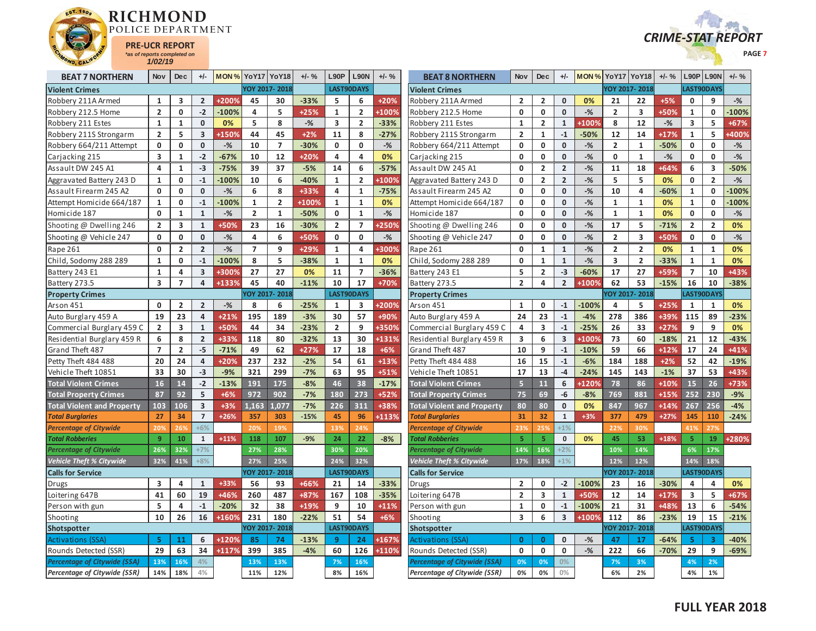



| <b>BEAT 7 NORTHERN</b>              | Nov            | <b>Dec</b>     | $+/-$                   |         | MON% YoY17     | YoY18          | $+/-$ % | L90P           | <b>L90N</b>    | $+/-$ %      | <b>BEAT 8 NORTHERN</b>            | Nov                     | <b>Dec</b>              | +/-                     | <b>MON % Yo Y17</b> |                         | <b>YoY18</b>            | $+/-$ % | L90P                    | <b>L90N</b>             | $+/-$ %      |
|-------------------------------------|----------------|----------------|-------------------------|---------|----------------|----------------|---------|----------------|----------------|--------------|-----------------------------------|-------------------------|-------------------------|-------------------------|---------------------|-------------------------|-------------------------|---------|-------------------------|-------------------------|--------------|
| <b>Violent Crimes</b>               |                |                |                         |         |                | YOY 2017-2018  |         |                | LAST90DAYS     |              | <b>Violent Crimes</b>             |                         |                         |                         |                     |                         | OY 2017-2018            |         | LAST90DAYS              |                         |              |
| Robbery 211A Armed                  | 1              | 3              | $\overline{2}$          | +200%   | 45             | 30             | $-33%$  | 5              | 6              | +20%         | Robbery 211A Armed                | $\overline{2}$          | 2                       | 0                       | 0%                  | 21                      | 22                      | +5%     | 0                       | 9                       | $-%$         |
| Robbery 212.5 Home                  | $\overline{2}$ | $\mathbf{0}$   | $-2$                    | $-100%$ | 4              | 5              | +25%    | $\mathbf{1}$   | $\overline{2}$ | +100%        | Robbery 212.5 Home                | $\mathbf{0}$            | $\mathbf{0}$            | $\mathbf{0}$            | $-$ %               | $\overline{2}$          | $\overline{\mathbf{3}}$ | +50%    | $\mathbf{1}$            | $\mathbf{0}$            | $-100%$      |
| Robbery 211 Estes                   | $\mathbf{1}$   | $\mathbf{1}$   | $\mathbf 0$             | 0%      | 5              | 8              | $-$ %   | 3              | $\overline{2}$ | $-33%$       | Robbery 211 Estes                 | 1                       | $\overline{2}$          | $\mathbf{1}$            | +100%               | 8                       | 12                      | $-$ %   | 3                       | 5                       | $+67%$       |
| Robbery 211S Strongarm              | $\overline{2}$ | 5              | $\overline{3}$          | +150%   | 44             | 45             | $+2%$   | 11             | 8              | $-27%$       | Robbery 211S Strongarm            | $\overline{2}$          | $\mathbf{1}$            | $-1$                    | $-50%$              | 12                      | 14                      | $+17%$  | $\mathbf{1}$            | 5                       | <b>+400%</b> |
| Robbery 664/211 Attempt             | $\mathbf{0}$   | 0              | $\mathbf 0$             | $-$ %   | 10             | $\overline{7}$ | $-30%$  | 0              | $\mathbf 0$    | $-$ %        | Robbery 664/211 Attempt           | 0                       | $\mathbf 0$             | $\mathbf{0}$            | $-$ %               | $\overline{2}$          | $\mathbf{1}$            | $-50%$  | $\mathbf 0$             | 0                       | $-%$         |
| Carjacking 215                      | 3              | $\mathbf{1}$   | $-2$                    | $-67%$  | 10             | 12             | $+20%$  | 4              | $\overline{4}$ | 0%           | Carjacking 215                    | $\mathbf 0$             | $\mathbf 0$             | $\mathbf{0}$            | $-$ %               | $\mathbf 0$             | $\mathbf{1}$            | $-$ %   | $\mathbf 0$             | $\mathbf 0$             | $-$ %        |
| Assault DW 245 A1                   | 4              | 1              | $-3$                    | $-75%$  | 39             | 37             | $-5%$   | 14             | 6              | $-57%$       | Assault DW 245 A1                 | 0                       | $\overline{2}$          | $\overline{2}$          | $-$ %               | 11                      | 18                      | +64%    | 6                       | 3                       | $-50%$       |
| Aggravated Battery 243 D            | $\mathbf{1}$   | 0              | $-1$                    | $-100%$ | 10             | 6              | $-40%$  | $\mathbf{1}$   | $\overline{2}$ | <b>+100%</b> | Aggravated Battery 243 D          | $\mathbf 0$             | $\overline{\mathbf{2}}$ | $\overline{2}$          | $-$ %               | 5                       | 5                       | 0%      | 0                       | $\overline{2}$          | $-$ %        |
| Assault Firearm 245 A2              | $\mathbf{0}$   | $\mathbf{0}$   | $\mathbf 0$             | $-$ %   | 6              | 8              | +33%    | 4              | $\mathbf{1}$   | $-75%$       | Assault Firearm 245 A2            | 0                       | $\mathbf 0$             | $\mathbf{0}$            | $-$ %               | 10                      | 4                       | $-60%$  | $\mathbf{1}$            | $\mathbf{0}$            | $-100%$      |
| Attempt Homicide 664/187            | $\mathbf{1}$   | $\mathbf 0$    | $-1$                    | $-100%$ | $\mathbf{1}$   | $\overline{2}$ | +100%   | $\mathbf{1}$   | $\mathbf{1}$   | 0%           | Attempt Homicide 664/187          | $\mathbf 0$             | $\mathbf 0$             | $\mathbf{0}$            | $-$ %               | $\mathbf{1}$            | $\mathbf{1}$            | 0%      | $\mathbf{1}$            | 0                       | $-100%$      |
| Homicide 187                        | $\mathbf{0}$   | $\mathbf{1}$   | $\mathbf{1}$            | $-$ %   | $\overline{2}$ | $\mathbf{1}$   | $-50%$  | 0              | $\mathbf{1}$   | $-$ %        | Homicide 187                      | $\mathbf{0}$            | $\mathbf 0$             | $\mathbf 0$             | $-$ %               | $\mathbf{1}$            | $\mathbf{1}$            | 0%      | $\mathbf{0}$            | $\mathbf 0$             | $-$ %        |
| Shooting @ Dwelling 246             | $\overline{2}$ | 3              | $\mathbf{1}$            | +50%    | 23             | 16             | $-30%$  | $\overline{2}$ | $\overline{7}$ | <b>+250%</b> | Shooting @ Dwelling 246           | 0                       | 0                       | $\mathbf 0$             | $-$ %               | 17                      | 5                       | $-71%$  | $\overline{2}$          | $\overline{\mathbf{2}}$ | 0%           |
| Shooting @ Vehicle 247              | 0              | 0              | $\mathbf 0$             | $-%$    | 4              | 6              | +50%    | $\mathbf{0}$   | $\mathbf{0}$   | $-$ %        | Shooting @ Vehicle 247            | $\mathbf 0$             | 0                       | $\mathbf{0}$            | $-$ %               | $\overline{2}$          | 3                       | +50%    | $\mathbf{0}$            | 0                       | $-$ %        |
| Rape 261                            | 0              | $\overline{2}$ | $\overline{2}$          | $-$ %   | $\overline{7}$ | 9              | $+29%$  | $\mathbf{1}$   | 4              | +300%        | Rape 261                          | $\mathbf 0$             | $\mathbf 1$             | $\mathbf 1$             | $-$ %               | $\overline{2}$          | $\overline{2}$          | 0%      | $\mathbf{1}$            | $\mathbf 1$             | 0%           |
| Child, Sodomy 288 289               | $\mathbf{1}$   | $\mathbf{0}$   | $-1$                    | $-100%$ | 8              | 5              | $-38%$  | $\mathbf{1}$   | $\mathbf{1}$   | 0%           | Child, Sodomy 288 289             | $\mathbf{0}$            | $\mathbf{1}$            | $\mathbf{1}$            | $-$ %               | $\overline{\mathbf{3}}$ | $\overline{2}$          | $-33%$  | $\mathbf{1}$            | $\mathbf{1}$            | 0%           |
| Battery 243 E1                      | $\mathbf{1}$   | 4              | $\overline{\mathbf{3}}$ | +300%   | 27             | 27             | 0%      | 11             | $\overline{7}$ | $-36%$       | Battery 243 E1                    | 5                       | $\overline{2}$          | $-3$                    | $-60%$              | 17                      | 27                      | +59%    | $\overline{7}$          | 10                      | +43%         |
| Battery 273.5                       | 3              | $\overline{7}$ | $\overline{a}$          | +133%   | 45             | 40             | $-11%$  | 10             | 17             | +70%         | Battery 273.5                     | $\overline{2}$          | 4                       | $\overline{2}$          | +100%               | 62                      | 53                      | $-15%$  | 16                      | 10                      | $-38%$       |
| <b>Property Crimes</b>              |                |                |                         |         |                | OY 2017-2018   |         |                | LAST90DAYS     |              | <b>Property Crimes</b>            |                         |                         |                         |                     |                         | OY 2017-2018            |         | LAST90DAYS              |                         |              |
| Arson 451                           | 0              | $\overline{2}$ | $\overline{2}$          | $-$ %   | 8              | 6              | $-25%$  | 1              | 3              | +200%        | Arson 451                         | $\mathbf{1}$            | $\mathbf 0$             | $-1$                    | $-100%$             | 4                       | 5                       | $+25%$  | 1                       | 1                       | 0%           |
| Auto Burglary 459 A                 | 19             | 23             | $\overline{4}$          | $+21%$  | 195            | 189            | $-3%$   | 30             | 57             | +90%         | Auto Burglary 459 A               | 24                      | 23                      | $\mathbf{-1}$           | $-4%$               | 278                     | 386                     | +39%    | 115                     | 89                      | $-23%$       |
| Commercial Burglary 459 C           | $\overline{2}$ | 3              | $\mathbf{1}$            | +50%    | 44             | 34             | $-23%$  | $\overline{2}$ | 9              | +350%        | Commercial Burglary 459 C         | 4                       | 3                       | $-1$                    | $-25%$              | 26                      | 33                      | $+27%$  | 9                       | 9                       | 0%           |
| Residential Burglary 459 R          | 6              | 8              | $\overline{2}$          | +33%    | 118            | 80             | $-32%$  | 13             | 30             | +131%        | Residential Burglary 459 R        | $\overline{\mathbf{3}}$ | 6                       | $\overline{\mathbf{3}}$ | +100%               | 73                      | 60                      | $-18%$  | 21                      | 12                      | $-43%$       |
| Grand Theft 487                     | $\overline{7}$ | $\overline{2}$ | $-5$                    | $-71%$  | 49             | 62             | $+27%$  | 17             | 18             | +6%          | Grand Theft 487                   | 10                      | 9                       | $-1$                    | $-10%$              | 59                      | 66                      | $+12%$  | 17                      | 24                      | $+41%$       |
| Petty Theft 484 488                 | 20             | 24             | $\overline{a}$          | $+20%$  | 237            | 232            | $-2%$   | 54             | 61             | $+13%$       | Petty Theft 484 488               | 16                      | 15                      | $-1$                    | $-6%$               | 184                     | 188                     | $+2%$   | 52                      | 42                      | $-19%$       |
| Vehicle Theft 10851                 | 33             | 30             | $-3$                    | $-9%$   | 321            | 299            | $-7%$   | 63             | 95             | +51%         | Vehicle Theft 10851               | 17                      | 13                      | $-4$                    | $-24%$              | 145                     | 143                     | $-1%$   | 37                      | 53                      | +43%         |
| <b>Total Violent Crimes</b>         | 16             | 14             | $-2$                    | $-13%$  | 191            | 175            | $-8%$   | 46             | 38             | $-17%$       | <b>Total Violent Crimes</b>       | $\overline{5}$          | 11                      | 6                       | +120%               | 78                      | 86                      | +10%    | 15                      | 26                      | +73%         |
| <b>Total Property Crimes</b>        | 87             | 92             | 5                       | $+6%$   | 972            | 902            | $-7%$   | 180            | 273            | +52%         | <b>Total Property Crimes</b>      | 75                      | 69                      | -6                      | $-8%$               | 769                     | 881                     | +15%    | 252                     | 230                     | $-9%$        |
| <b>Total Violent and Property</b>   | 103            | 106            | $\overline{\mathbf{3}}$ | $+3%$   | 1.163          | 1.077          | $-7%$   | 226            | 311            | +38%         | <b>Total Violent and Property</b> | 80                      | 80                      | $\mathbf{0}$            | 0%                  | 847                     | 967                     | $+14%$  | 267                     | 256                     | $-4%$        |
| <b>Total Burglaries</b>             | 27             | 34             | $\overline{7}$          | $+26%$  | 357            | 303            | $-15%$  | 45             | 96             | +113%        | <b>Total Burglaries</b>           | 31                      | 32                      | $\mathbf{1}$            | $+3%$               | 377                     | 479                     | $+27%$  | 145                     | 110                     | $-24%$       |
| <b>Percentage of Citywide</b>       | 20%            | 26%            | $+6%$                   |         | 20%            | 19%            |         | 13%            | 24%            |              | <b>Percentage of Citywide</b>     | 23%                     | 259                     | $+1%$                   |                     | 22%                     | 30%                     |         | 41%                     | 27%                     |              |
| <b>Total Robberies</b>              | $\overline{9}$ | 10             | $\mathbf{1}$            | $+11%$  | 118            | 107            | $-9%$   | 24             | 22             | $-8%$        | <b>Total Robberies</b>            | 5                       | 5                       | $\mathbf 0$             | 0%                  | 45                      | 53                      | $+18%$  | -5                      | 19                      | +280%        |
| <b>Percentage of Citywide</b>       | 26%            | 32%            | $+7%$                   |         | 27%            | 28%            |         | 30%            | 20%            |              | <b>Percentage of Citywide</b>     | 14%                     | 16%                     | $+2%$                   |                     | 10%                     | 14%                     |         | 6%                      | 17%                     |              |
| Vehicle Theft % Citywide            | 32%            | 41%            | $+8%$                   |         | 27%            | 25%            |         | 24%            | 32%            |              | <b>Vehicle Theft % Citywide</b>   | 17%                     | 18%                     | $+1%$                   |                     | 12%                     | 12%                     |         | 14%                     | 18%                     |              |
| <b>Calls for Service</b>            |                |                |                         |         |                | OY 2017-2018   |         |                | LAST90DAYS     |              | <b>Calls for Service</b>          |                         |                         |                         |                     |                         | OY 2017-2018            |         | <b>LAST90DAYS</b>       |                         |              |
| Drugs                               | 3              | 4              | $\mathbf{1}$            | +33%    | 56             | 93             | +66%    | 21             | 14             | $-33%$       | Drugs                             | $\overline{2}$          | $\mathbf 0$             | $-2$                    | $-100%$             | 23                      | 16                      | $-30%$  | 4                       | 4                       | 0%           |
| Loitering 647B                      | 41             | 60             | 19                      | +46%    | 260            | 487            | +87%    | 167            | 108            | $-35%$       | Loitering 647B                    | $\overline{2}$          | $\overline{\mathbf{3}}$ | $\mathbf{1}$            | +50%                | 12                      | 14                      | $+17%$  | $\overline{\mathbf{3}}$ | 5                       | +67%         |
| Person with gun                     | 5              | 4              | $^{\rm -1}$             | $-20%$  | 32             | 38             | +19%    | 9              | 10             | $+11%$       | Person with gun                   | $\mathbf{1}$            | 0                       | $\mathbf{-1}$           | $-100%$             | 21                      | 31                      | +48%    | 13                      | 6                       | $-54%$       |
| Shooting                            | 10             | 26             | 16                      | +160%   | 231            | 180            | $-22%$  | 51             | 54             | +6%          | Shooting                          | 3                       | 6                       | 3                       | $+100%$             | 112                     | 86                      | $-23%$  | 19                      | 15                      | $-21%$       |
| Shotspotter                         |                |                |                         |         |                | OY 2017-2018   |         |                | LAST90DAYS     |              | Shotspotter                       |                         |                         |                         |                     |                         | OY 2017-2018            |         | LAST90DAYS              |                         |              |
| <b>Activations (SSA)</b>            | 5              | 11             | 6                       | +120%   | 85             | 74             | $-13%$  | 9              | 24             | +167%        | Activations (SSA)                 | $\mathbf{0}$            | $\mathbf{0}$            | 0                       | $-%$                | 47                      | 17                      | $-64%$  | 5                       | 3                       | $-40%$       |
| Rounds Detected (SSR)               | 29             | 63             | 34                      | +117%   | 399            | 385            | $-4%$   | 60             | 126            | +110%        | Rounds Detected (SSR)             | $\mathbf{0}$            | $\mathbf 0$             | 0                       | $-$ %               | 222                     | 66                      | $-70%$  | 29                      | 9                       | -69%         |
| <b>Percentage of Citywide (SSA)</b> | 13%            | 16%            | 4%                      |         | 13%            | 13%            |         | 7%             | 16%            |              | Percentage of Citywide (SSA)      | 0%                      | 0%                      | 0%                      |                     | 7%                      | 3%                      |         | 4%                      | 2%                      |              |
| Percentage of Citywide (SSR)        | 14%            | 18%            | 4%                      |         | 11%            | 12%            |         | 8%             | 16%            |              | Percentage of Citywide (SSR)      | 0%                      | 0%                      | $0\%$                   |                     | 6%                      | 2%                      |         | 4%                      | 1%                      |              |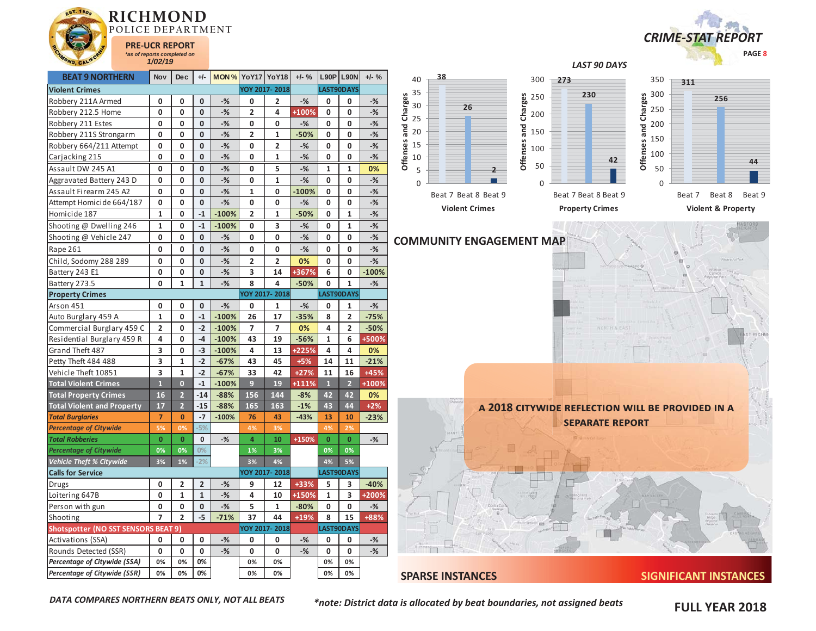



*LAST 90 DAYS* 

| <b>BEAT 9 NORTHERN</b>              | Nov                     | <b>Dec</b>     | $+/-$          | <b>MON % YoY17 YoY18</b> |                |                | $+/-$ %      |                | <b>L90P L90N</b>        | $+/-$ %      | 40             | 38                              | 300                  | 273                                              | 350            | 311                           |
|-------------------------------------|-------------------------|----------------|----------------|--------------------------|----------------|----------------|--------------|----------------|-------------------------|--------------|----------------|---------------------------------|----------------------|--------------------------------------------------|----------------|-------------------------------|
| <b>Violent Crimes</b>               |                         |                |                |                          |                | YOY 2017-2018  |              |                | LAST90DAYS              |              | 35             |                                 |                      | 230                                              | 300            |                               |
| Robbery 211A Armed                  | $\mathbf 0$             | 0              | $\mathbf 0$    | $-%$                     | 0              | $\overline{2}$ | $-%$         | 0              | 0                       | $-%$         | 30             |                                 | 250                  |                                                  |                | 256                           |
| Robbery 212.5 Home                  | $\mathbf{0}$            | $\mathbf 0$    | $\mathbf 0$    | $-$ %                    | $\overline{2}$ | 4              | +100%        | $\mathbf 0$    | $\mathbf 0$             | $-%$         | Charges        | 26                              | Charges<br>200       |                                                  | Charges<br>250 |                               |
| Robbery 211 Estes                   | 0                       | 0              | $\pmb{0}$      | $-%$                     | 0              | $\mathbf 0$    | $-%$         | 0              | $\mathbf 0$             | $-$ %        | 25             |                                 |                      |                                                  | 200            |                               |
| Robbery 211S Strongarm              | 0                       | 0              | $\mathbf 0$    | $-$ %                    | $\overline{2}$ | $\mathbf{1}$   | $-50%$       | 0              | 0                       | $-%$         | and<br>20      |                                 | and<br>150           |                                                  | and<br>150     |                               |
| Robbery 664/211 Attempt             | 0                       | 0              | $\mathbf 0$    | $-$ %                    | 0              | $\overline{2}$ | $-$ %        | $\mathbf 0$    | $\mathbf 0$             | $-$ %        | Offenses<br>15 |                                 | Offenses<br>100      |                                                  | Offenses       |                               |
| Carjacking 215                      | 0                       | $\mathbf{0}$   | $\mathbf 0$    | $-$ %                    | 0              | $\mathbf{1}$   | $-%$         | $\mathbf{0}$   | 0                       | $-$ %        | 10             |                                 |                      | 42                                               | 100            | 44                            |
| Assault DW 245 A1                   | $\mathbf{0}$            | 0              | $\mathbf 0$    | $-$ %                    | 0              | 5              | $-$ %        | 1              | $\mathbf{1}$            | 0%           | 5              |                                 | 50<br>$\overline{2}$ |                                                  | 50             |                               |
| Aggravated Battery 243 D            | 0                       | 0              | $\mathbf{0}$   | $-$ %                    | 0              | $\mathbf{1}$   | $-$ %        | 0              | $\mathbf 0$             | $-$ %        | $\Omega$       |                                 | $\Omega$             |                                                  | $\mathbf{0}$   |                               |
| Assault Firearm 245 A2              | $\mathbf{0}$            | $\mathbf{0}$   | $\mathbf 0$    | $-$ %                    | $\mathbf{1}$   | $\mathbf{0}$   | $-100%$      | $\mathbf{0}$   | $\mathbf{0}$            | $-$ %        |                | Beat 7 Beat 8 Beat 9            |                      | Beat 7 Beat 8 Beat 9                             |                | Beat 7<br>Beat 8<br>Beat 9    |
| Attempt Homicide 664/187            | $\mathbf 0$             | 0              | $\mathbf 0$    | $-$ %                    | 0              | $\mathbf 0$    | $-$ %        | $\mathbf 0$    | 0                       | $-%$         |                |                                 |                      |                                                  |                |                               |
| Homicide 187                        | $\mathbf{1}$            | 0              | $\mathbf{-1}$  | $-100%$                  | $\overline{2}$ | $\mathbf{1}$   | $-50%$       | $\mathbf 0$    | $\mathbf{1}$            | $-$ %        |                | <b>Violent Crimes</b>           |                      | <b>Property Crimes</b>                           |                | <b>Violent &amp; Property</b> |
| Shooting @ Dwelling 246             | $\mathbf{1}$            | 0              | $-1$           | $-100%$                  | 0              | 3              | $-$ %        | 0              | $\mathbf{1}$            | $-$ %        |                |                                 |                      |                                                  |                |                               |
| Shooting @ Vehicle 247              | $\mathbf 0$             | 0              | $\mathbf 0$    | $-$ %                    | 0              | $\mathbf 0$    | $-%$         | 0              | 0                       | $-%$         |                | <b>COMMUNITY ENGAGEMENT MAP</b> |                      |                                                  |                |                               |
| Rape 261                            | $\mathbf 0$             | 0              | $\mathbf 0$    | $-$ %                    | 0              | $\mathbf 0$    | $-$ %        | $\mathbf 0$    | $\mathbf 0$             | $-%$         |                |                                 |                      |                                                  |                |                               |
| Child, Sodomy 288 289               | $\mathbf{0}$            | 0              | $\pmb{0}$      | $-$ %                    | $\mathbf{2}$   | $\overline{2}$ | 0%           | 0              | $\mathbf 0$             | $-$ %        |                |                                 |                      |                                                  |                |                               |
| Battery 243 E1                      | 0                       | 0              | $\mathbf 0$    | $-$ %                    | 3              | 14             | <b>+367%</b> | 6              | 0                       | $-100%$      |                |                                 |                      |                                                  |                |                               |
| Battery 273.5                       | $\mathbf 0$             | $\mathbf{1}$   | $\mathbf{1}$   | $-$ %                    | 8              | 4              | $-50%$       | $\mathbf 0$    | $\mathbf{1}$            | $-$ %        |                |                                 |                      |                                                  |                |                               |
| <b>Property Crimes</b>              |                         |                |                |                          |                | YOY 2017-2018  |              |                | LAST90DAYS              |              |                |                                 |                      |                                                  |                |                               |
| Arson 451                           | $\mathbf 0$             | 0              | $\mathbf 0$    | $-$ %                    | 0              | $\mathbf{1}$   | $-%$         | $\mathbf 0$    | $\mathbf{1}$            | $-$ %        |                |                                 |                      |                                                  |                |                               |
| Auto Burglary 459 A                 | $\mathbf{1}$            | $\mathbf 0$    | $^{\rm -1}$    | $-100%$                  | 26             | 17             | $-35%$       | 8              | $\overline{2}$          | $-75%$       |                |                                 |                      |                                                  |                |                               |
| Commercial Burglary 459 C           | $\overline{2}$          | 0              | $-2$           | $-100%$                  | $\overline{7}$ | $\overline{7}$ | 0%           | 4              | $\overline{2}$          | $-50%$       |                |                                 |                      |                                                  |                |                               |
| Residential Burglary 459 R          | 4                       | 0              | $-4$           | $-100%$                  | 43             | 19             | $-56%$       | $\mathbf{1}$   | 6                       | +500%        |                |                                 |                      |                                                  |                |                               |
| Grand Theft 487                     | 3                       | 0              | $-3$           | $-100%$                  | 4              | 13             | +225%        | 4              | 4                       | 0%           |                |                                 |                      |                                                  |                |                               |
| Petty Theft 484 488                 | 3                       | $\mathbf{1}$   | $-2$           | $-67%$                   | 43             | 45             | $+5%$        | 14             | 11                      | $-21%$       |                |                                 |                      |                                                  |                |                               |
| Vehicle Theft 10851                 | $\overline{\mathbf{3}}$ | $\mathbf{1}$   | $-2$           | $-67%$                   | 33             | 42             | $+27%$       | 11             | 16                      | +45%         |                |                                 |                      |                                                  |                |                               |
| <b>Total Violent Crimes</b>         | $\mathbf{1}$            | $\overline{0}$ | $-1$           | $-100%$                  | 9 <sup>°</sup> | 19             | +111%        | $\mathbf{1}$   | $\overline{2}$          | +100%        |                |                                 |                      |                                                  |                |                               |
| <b>Total Property Crimes</b>        | 16                      | $\overline{2}$ | $-14$          | $-88%$                   | 156            | 144            | $-8%$        | 42             | 42                      | 0%           |                |                                 |                      |                                                  |                |                               |
| <b>Total Violent and Property</b>   | 17                      | $\overline{2}$ | $-15$          | $-88%$                   | 165            | 163            | $-1%$        | 43             | 44                      | $+2%$        |                |                                 |                      | A 2018 CITYWIDE REFLECTION WILL BE PROVIDED IN A |                |                               |
| <b>Total Burglaries</b>             | $\overline{7}$          | $\mathbf{0}$   | $-7$           | $-100%$                  | 76             | 43             | $-43%$       | 13             | 10                      | $-23%$       |                |                                 |                      | <b>SEPARATE REPORT</b>                           |                |                               |
| <b>Percentage of Citywide</b>       | 5%                      | 0%             | $-5%$          |                          | 4%             | 3%             |              | 4%             | 2%                      |              |                |                                 |                      |                                                  |                |                               |
| <b>Total Robberies</b>              | $\overline{0}$          | $\mathbf{0}$   | $\mathbf 0$    | $-$ %                    | $\overline{4}$ | 10             | +150%        | $\overline{0}$ | $\mathbf{0}$            | $-$ %        |                |                                 |                      |                                                  |                |                               |
| Percentage of Citywide              | 0%                      | 0%             | 0%             |                          | 1%             | 3%             |              | 0%             | 0%                      |              |                |                                 |                      |                                                  |                |                               |
| Vehicle Theft % Citywide            | 3%                      | 1%             | $-2%$          |                          | 3%             | 4%             |              | 4%             | 5%                      |              |                |                                 |                      |                                                  |                |                               |
| <b>Calls for Service</b>            |                         |                |                |                          |                | OY 2017-2018   |              |                | LAST90DAYS              |              |                |                                 |                      |                                                  |                |                               |
| Drugs                               | $\mathbf 0$             | $\overline{2}$ | $\overline{2}$ | $-$ %                    | 9              | 12             | +33%         | 5              | $\overline{\mathbf{3}}$ | $-40%$       |                |                                 |                      |                                                  |                |                               |
| Loitering 647B                      | $\mathbf 0$             | 1              | $\mathbf{1}$   | $-$ %                    | 4              | 10             | +150%        | $\mathbf{1}$   | $\overline{\mathbf{3}}$ | <b>+200%</b> |                |                                 |                      |                                                  |                |                               |
| Person with gun                     | 0                       | 0              | $\mathbf 0$    | $-$ %                    | 5              | $\mathbf{1}$   | $-80%$       | $\mathbf 0$    | $\mathbf 0$             | $-$ %        |                |                                 |                      |                                                  |                |                               |
| Shooting                            | $\overline{7}$          | $\overline{2}$ | $-5$           | $-71%$                   | 37             | 44             | +19%         | 8              | 15                      | +88%         |                |                                 |                      |                                                  |                |                               |
| Shotspotter (NO SST SENSORS BEAT 9) |                         |                |                |                          |                | YOY 2017-2018  |              |                | LAST90DAYS              |              |                |                                 |                      |                                                  |                |                               |
| Activations (SSA)                   | $\mathbf 0$             | 0              | $\mathbf 0$    | $-$ %                    | 0              | 0              | $-%$         | 0              | $\mathbf 0$             | $-$ %        |                |                                 |                      |                                                  |                |                               |
| Rounds Detected (SSR)               | $\mathbf 0$             | 0              | $\mathbf 0$    | $-$ %                    | 0              | $\mathbf{0}$   | $-$ %        | $\mathbf{0}$   | 0                       | $-$ %        |                |                                 |                      |                                                  |                |                               |
| Percentage of Citywide (SSA)        | 0%                      | 0%             | 0%             |                          | 0%             | 0%             |              | 0%             | 0%                      |              |                |                                 |                      |                                                  |                |                               |
| <b>Percentage of Citywide (SSR)</b> | 0%                      | 0%             | 0%             |                          | 0%             | 0%             |              | 0%             | 0%                      |              |                | <b>SPARSE INSTANCES</b>         |                      |                                                  |                | <b>SIGNIFICANT INSTANCES</b>  |

*DATA COMPARES NORTHERN BEATS ONLY, NOT ALL BEATS* 

*\*note: District data is allocated by beat boundaries, not assigned beats* 

**FULL YEAR 2018**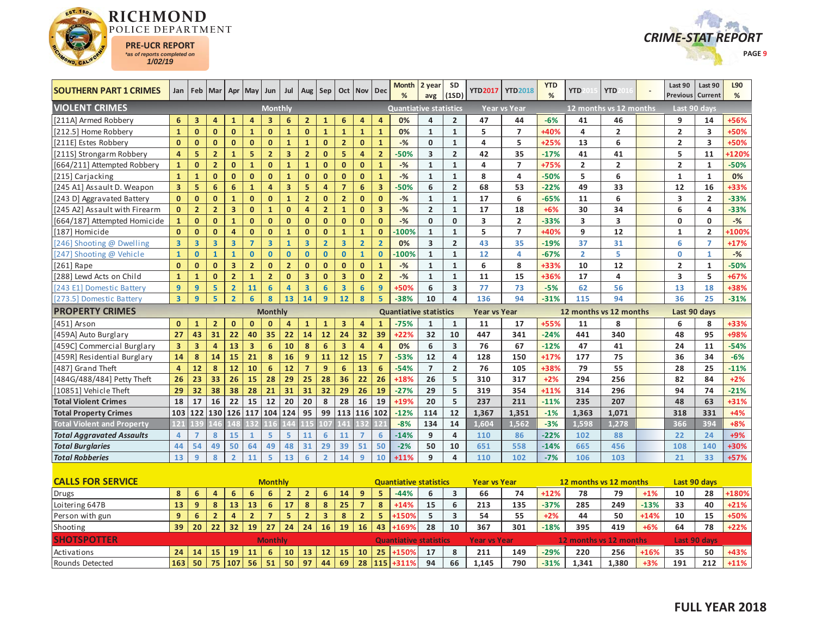



| <b>SOUTHERN PART 1 CRIMES</b>     |                         |                         | Jan   Feb   Mar   Apr   |                         | May                     | Jun                     | Jul                     | Aug                     | Sep                     |                         | Oct   Nov   Dec |                         | <b>Month</b><br>%             | 2 year<br>avg           | <b>SD</b><br>(1SD)      | <b>YTD2017</b>      | <b>YTD2018</b>      | <b>YTD</b><br>% | <b>YTD</b>              | <b>YTD</b>             |        | Last 90<br><b>Previous</b> | Last 90<br>Current  | L90<br>% |
|-----------------------------------|-------------------------|-------------------------|-------------------------|-------------------------|-------------------------|-------------------------|-------------------------|-------------------------|-------------------------|-------------------------|-----------------|-------------------------|-------------------------------|-------------------------|-------------------------|---------------------|---------------------|-----------------|-------------------------|------------------------|--------|----------------------------|---------------------|----------|
| <b>VIOLENT CRIMES</b>             |                         |                         |                         |                         |                         | <b>Monthly</b>          |                         |                         |                         |                         |                 |                         | <b>Quantiative statistics</b> |                         |                         |                     | <b>Year vs Year</b> |                 |                         | 12 months vs 12 months |        | Last 90 days               |                     |          |
| [211A] Armed Robbery              | 6                       | $\overline{\mathbf{3}}$ | $\overline{4}$          | $\mathbf{1}$            | $\overline{4}$          | $\overline{\mathbf{3}}$ | 6                       | $\overline{2}$          | $\mathbf{1}$            | 6                       | $\overline{4}$  | $\overline{4}$          | 0%                            | 4                       | $\overline{2}$          | 47                  | 44                  | $-6%$           | 41                      | 46                     |        | 9                          | 14                  | +56%     |
| [212.5] Home Robbery              | $\mathbf{1}$            | $\mathbf{0}$            | $\mathbf{0}$            | $\mathbf{0}$            | $\mathbf{1}$            | $\mathbf{0}$            | $\mathbf{1}$            | $\mathbf{0}$            | $\mathbf{1}$            | $\mathbf{1}$            | $\mathbf{1}$    | $\mathbf{1}$            | 0%                            | $\mathbf{1}$            | $\mathbf{1}$            | 5                   | $\overline{7}$      | +40%            | 4                       | $\overline{2}$         |        | $\overline{2}$             | 3                   | +50%     |
| [211E] Estes Robbery              | $\mathbf{0}$            | $\mathbf{0}$            | $\mathbf{0}$            | $\mathbf{0}$            | $\mathbf{0}$            | $\mathbf{0}$            | $\mathbf{1}$            | $\mathbf{1}$            | $\mathbf{0}$            | $\overline{2}$          | $\mathbf 0$     | $\mathbf{1}$            | $-%$                          | $\mathbf 0$             | $\mathbf 1$             | 4                   | 5                   | $+25%$          | 13                      | 6                      |        | $\overline{2}$             | 3                   | +50%     |
| [211S] Strongarm Robbery          | $\overline{4}$          | 5                       | $\overline{2}$          | $\mathbf{1}$            | 5                       | 2 <sup>2</sup>          | $\overline{\mathbf{3}}$ | $\overline{2}$          | $\mathbf{0}$            | 5                       | $\overline{4}$  | $\overline{2}$          | $-50%$                        | $\overline{\mathbf{3}}$ | $\overline{2}$          | 42                  | 35                  | $-17%$          | 41                      | 41                     |        | 5                          | 11                  | +120%    |
| [664/211] Attempted Robbery       | $\mathbf{1}$            | $\mathbf{0}$            | $\overline{2}$          | $\mathbf{0}$            | $\mathbf{1}$            | $\mathbf{0}$            | $\mathbf{1}$            | $\mathbf{1}$            | $\mathbf{0}$            | $\mathbf{0}$            | $\mathbf{0}$    | $\mathbf{1}$            | $-$ %                         | $\mathbf{1}$            | $\mathbf{1}$            | 4                   | $\overline{7}$      | $+75%$          | $\overline{2}$          | $\overline{2}$         |        | $\overline{2}$             | $\mathbf{1}$        | $-50%$   |
| [215] Carjacking                  | $\mathbf{1}$            | $\mathbf{1}$            | $\mathbf{0}$            | $\mathbf 0$             | $\mathbf{0}$            | $\mathbf{0}$            | $\mathbf{1}$            | $\mathbf{0}$            | $\mathbf{0}$            | $\mathbf{0}$            | $\mathbf{0}$    | $\mathbf{1}$            | $-%$                          | $\mathbf{1}$            | $\mathbf 1$             | 8                   | 4                   | $-50%$          | 5                       | 6                      |        | $\mathbf{1}$               | $\mathbf{1}$        | 0%       |
| [245 A1] Assault D. Weapon        | $\overline{\mathbf{3}}$ | 5                       | 6                       | $6\phantom{1}$          | $\mathbf 1$             | $\overline{\mathbf{4}}$ | $\overline{\mathbf{3}}$ | 5                       | 4                       | $\overline{7}$          | 6               | $\overline{\mathbf{3}}$ | $-50%$                        | 6                       | $\overline{2}$          | 68                  | 53                  | $-22%$          | 49                      | 33                     |        | 12                         | 16                  | +33%     |
| [243 D] Aggravated Battery        | $\mathbf{0}$            | $\mathbf{0}$            | $\mathbf{0}$            | $\mathbf{1}$            | $\mathbf{0}$            | $\mathbf{0}$            | $\mathbf{1}$            | $\overline{2}$          | $\mathbf{0}$            | $\overline{2}$          | $\mathbf{0}$    | $\mathbf{0}$            | $-$ %                         | $\mathbf{1}$            | $\mathbf{1}$            | 17                  | 6                   | $-65%$          | 11                      | 6                      |        | $\overline{\mathbf{3}}$    | $\overline{2}$      | $-33%$   |
| [245 A2] Assault with Firearm     | $\mathbf{0}$            | $\overline{2}$          | $\overline{2}$          | $\overline{\mathbf{3}}$ | $\mathbf{0}$            | $\mathbf{1}$            | $\mathbf{0}$            | $\overline{4}$          | 2 <sup>2</sup>          | $\mathbf{1}$            | $\mathbf{0}$    | $\overline{\mathbf{3}}$ | $-$ %                         | $\overline{2}$          | $\mathbf{1}$            | 17                  | 18                  | $+6%$           | 30                      | 34                     |        | 6                          | 4                   | $-33%$   |
| [664/187] Attempted Homicide      | $\mathbf{1}$            | $\mathbf{0}$            | $\mathbf{0}$            | $\mathbf{1}$            | $\mathbf{0}$            | $\mathbf{0}$            | $\mathbf{0}$            | $\mathbf{0}$            | $\mathbf{0}$            | $\mathbf{0}$            | $\mathbf{0}$    | $\mathbf{0}$            | $-$ %                         | $\mathbf{0}$            | $\mathbf{0}$            | 3                   | $\overline{2}$      | $-33%$          | $\overline{\mathbf{3}}$ | 3                      |        | $\mathbf{0}$               | 0                   | $-$ %    |
| [187] Homicide                    | $\mathbf{0}$            | $\mathbf{0}$            | $\mathbf{0}$            | $\overline{4}$          | $\mathbf 0$             | $\mathbf{0}$            | $\mathbf{1}$            | $\mathbf{0}$            | $\mathbf{0}$            | $\mathbf{1}$            | $\mathbf{1}$    | $\mathbf 0$             | $-100%$                       | $\mathbf{1}$            | $\mathbf{1}$            | 5                   | $\overline{7}$      | +40%            | 9                       | 12                     |        | 1                          | $\overline{2}$      | +100%    |
| 246] Shooting @ Dwelling          | 3                       | $\overline{\mathbf{3}}$ | $\overline{\mathbf{3}}$ | $\overline{\mathbf{3}}$ | $\overline{7}$          | $\overline{\mathbf{3}}$ | $\overline{1}$          | $\overline{\mathbf{3}}$ | $\overline{2}$          | $\overline{\mathbf{3}}$ | $\overline{2}$  | $\overline{2}$          | 0%                            | $\overline{\mathbf{3}}$ | $\overline{2}$          | 43                  | 35                  | $-19%$          | 37                      | 31                     |        | 6                          | $\overline{7}$      | $+17%$   |
| [247] Shooting @ Vehicle          | $\mathbf{1}$            | $\mathbf{0}$            | $\mathbf{1}$            | $\mathbf{1}$            | $\mathbf{0}$            | $\mathbf{0}$            | $\mathbf{0}$            | $\mathbf{0}$            | $\mathbf{0}$            | $\mathbf{0}$            | $\mathbf{1}$    | $\mathbf{0}$            | $-100%$                       | $\mathbf{1}$            | $\mathbf{1}$            | 12                  | 4                   | $-67%$          | $\overline{2}$          | 5                      |        | $\mathbf{0}$               | 1                   | $-%$     |
| [261] Rape                        | $\mathbf{0}$            | $\mathbf{0}$            | $\mathbf{0}$            | $\overline{\mathbf{3}}$ | $\overline{2}$          | $\mathbf{0}$            | $\overline{2}$          | $\mathbf{0}$            | $\mathbf{0}$            | $\mathbf{0}$            | $\mathbf{0}$    | $\mathbf{1}$            | $-%$                          | $\mathbf{1}$            | $\mathbf 1$             | 6                   | 8                   | +33%            | 10                      | 12                     |        | $\overline{2}$             | $\mathbf{1}$        | $-50%$   |
| [288] Lewd Acts on Child          | $\mathbf{1}$            | $\mathbf{1}$            | $\mathbf{0}$            | $\overline{2}$          | $\mathbf{1}$            | 2 <sup>2</sup>          | $\mathbf{0}$            | $\overline{3}$          | $\mathbf{0}$            | $\overline{3}$          | $\mathbf{0}$    | 2 <sup>1</sup>          | $-$ %                         | $\mathbf{1}$            | $\mathbf{1}$            | 11                  | 15                  | +36%            | 17                      | 4                      |        | $\overline{\mathbf{3}}$    | 5                   | $+67%$   |
| [243 E1] Domestic Battery         | 9                       | 9                       | 5                       | $\overline{2}$          | 11                      | 6                       | $\overline{a}$          | $\overline{3}$          | 6                       | $\overline{\mathbf{3}}$ | 6               | $\overline{9}$          | +50%                          | 6                       | $\overline{\mathbf{3}}$ | 77                  | 73                  | $-5%$           | 62                      | 56                     |        | 13                         | 18                  | +38%     |
| [273.5] Domestic Battery          | $\overline{3}$          | 9                       | 5                       | $\overline{2}$          | 6                       | 8                       | 13                      | 14                      | 9 <sup>°</sup>          | 12                      | 8               | 5                       | $-38%$                        | 10                      | 4                       | 136                 | 94                  | $-31%$          | 115                     | 94                     |        | 36                         | 25                  | $-31%$   |
| <b>PROPERTY CRIMES</b>            |                         |                         |                         |                         |                         | <b>Monthly</b>          |                         |                         |                         |                         |                 |                         | <b>Quantiative statistics</b> |                         |                         | <b>Year vs Year</b> |                     |                 | 12 months vs 12 months  |                        |        | Last 90 days               |                     |          |
| [451] Arson                       | $\mathbf{0}$            | $\mathbf{1}$            | $\overline{2}$          | $\mathbf{0}$            | $\mathbf{0}$            | $\mathbf 0$             | 4                       | $\mathbf{1}$            | $\mathbf{1}$            | $\overline{\mathbf{3}}$ | $\overline{a}$  | $\mathbf{1}$            | $-75%$                        | $\mathbf{1}$            | $\mathbf{1}$            | 11                  | 17                  | +55%            | 11                      | 8                      |        | 6                          | 8                   | +33%     |
| [459A] Auto Burglary              | 27                      | 43                      | 31                      | 22                      | 40                      | 35                      | 22                      | 14                      | 12                      | 24                      | 32              | 39                      | $+22%$                        | 32                      | 10                      | 447                 | 341                 | $-24%$          | 441                     | 340                    |        | 48                         | 95                  | +98%     |
| [459C] Commercial Burglary        | $\overline{\mathbf{3}}$ | $\overline{\mathbf{3}}$ | $\overline{\mathbf{4}}$ | 13                      | $\overline{\mathbf{3}}$ | 6                       | 10                      | 8                       | 6                       | $\overline{\mathbf{3}}$ | $\overline{4}$  | $\overline{\mathbf{4}}$ | 0%                            | 6                       | 3                       | 76                  | 67                  | $-12%$          | 47                      | 41                     |        | 24                         | 11                  | $-54%$   |
| [459R] Residential Burglary       | 14                      | 8                       | 14                      | 15                      | 21                      | 8                       | 16                      | 9 <sup>°</sup>          | 11                      | 12                      | 15              | $\overline{7}$          | $-53%$                        | 12                      | $\overline{4}$          | 128                 | 150                 | $+17%$          | 177                     | 75                     |        | 36                         | 34                  | $-6%$    |
| [487] Grand Theft                 | $\overline{4}$          | 12                      | 8                       | 12                      | 10                      | 6                       | 12                      | $\overline{7}$          | 9                       | 6                       | 13              | 6                       | $-54%$                        | $\overline{7}$          | $\overline{2}$          | 76                  | 105                 | +38%            | 79                      | 55                     |        | 28                         | 25                  | $-11%$   |
| [484G/488/484] Petty Theft        | 26                      | 23                      | 33                      | 26                      | 15                      | 28                      | 29                      | 25                      | 28                      | 36                      | 22              | 26                      | +18%                          | 26                      | 5                       | 310                 | 317                 | $+2%$           | 294                     | 256                    |        | 82                         | 84                  | $+2%$    |
| [10851] Vehicle Theft             | 29                      | 32                      | 38                      | 38                      | 28                      | 21                      | 31                      | 31                      | 32                      | 29                      | 26              | 19                      | $-27%$                        | 29                      | 5                       | 319                 | 354                 | $+11%$          | 314                     | 296                    |        | 94                         | 74                  | $-21%$   |
| <b>Total Violent Crimes</b>       | 18                      | 17                      | 16                      | 22                      | 15                      | 12                      | 20                      | 20                      | 8                       | 28                      | 16              | 19                      | +19%                          | 20                      | 5                       | 237                 | 211                 | $-11%$          | 235                     | 207                    |        | 48                         | 63                  | +31%     |
| <b>Total Property Crimes</b>      | 103                     | 122                     | 130                     | 126                     | 117                     | 104                     | 124                     | 95                      | 99                      | 113                     | 116             | 102                     | $-12%$                        | 114                     | 12                      | 1,367               | 1,351               | $-1%$           | 1,363                   | 1,071                  |        | 318                        | 331                 | $+4%$    |
| <b>Total Violent and Property</b> | 121                     | R                       |                         | 148                     | 132                     |                         | $\overline{44}$         | 15                      |                         |                         |                 | 12                      | $-8%$                         | 134                     | 14                      | 1,604               | 1,562               | $-3%$           | 1,598                   | 1,278                  |        | 366                        | 394                 | $+8%$    |
| <b>Total Aggravated Assaults</b>  | 4                       | $\overline{7}$          | 8                       | 15                      | $\mathbf{1}$            | 5                       | 5                       | 11                      | 6                       | 11                      | $\overline{7}$  | 6                       | $-14%$                        | 9                       | $\overline{4}$          | 110                 | 86                  | $-22%$          | 102                     | 88                     |        | 22                         | 24                  | +9%      |
| <b>Total Burglaries</b>           | 44                      | 54                      | 49                      | 50                      | 64                      | 49                      | 48                      | 31                      | 29                      | 39                      | 51              | 50                      | $-2%$                         | 50                      | 10                      | 651                 | 558                 | $-14%$          | 665                     | 456                    |        | 108                        | 140                 | +30%     |
| <b>Total Robberies</b>            | 13                      | $\overline{9}$          | 8                       | $\overline{2}$          | 11                      | $\overline{5}$          | 13                      | $6\phantom{a}$          | $\overline{2}$          | 14                      | $\overline{9}$  | 10                      | $+11%$                        | 9                       | $\overline{\mathbf{4}}$ | 110                 | 102                 | $-7%$           | 106                     | 103                    |        | 21                         | 33                  | $+57%$   |
|                                   |                         |                         |                         |                         |                         |                         |                         |                         |                         |                         |                 |                         |                               |                         |                         |                     |                     |                 |                         |                        |        |                            |                     |          |
| <b>CALLS FOR SERVICE</b>          |                         |                         |                         |                         |                         | <b>Monthly</b>          |                         |                         |                         |                         |                 |                         | <b>Quantiative statistics</b> |                         |                         | <b>Year vs Year</b> |                     |                 | 12 months vs 12 months  |                        |        | Last 90 days               |                     |          |
| <b>Drugs</b>                      | 8                       | 6                       | 4                       | 6                       | 6                       | 6                       | $\overline{2}$          | $\overline{2}$          | 6                       | 14                      | 9               | 5                       | $-44%$                        | 6                       | 3                       | 66                  | 74                  | $+12%$          | 78                      | 79                     | $+1%$  | 10                         | 28                  | +180%    |
| Loitering 647B                    | 13                      | 9                       | 8                       | 13                      | 13                      | $\boldsymbol{6}$        | 17                      | 8                       | 8                       | 25                      | $\overline{7}$  | 8                       | $+14%$                        | 15                      | 6                       | 213                 | 135                 | $-37%$          | 285                     | 249                    | $-13%$ | 33                         | 40                  | $+21%$   |
| Person with gun                   | 9                       | $6\phantom{1}6$         | $\overline{2}$          | $\overline{4}$          | $\overline{2}$          | $\overline{7}$          | 5                       | $\overline{2}$          | $\overline{\mathbf{3}}$ | 8                       | $\overline{2}$  | 5                       | +150%                         | 5                       | $\overline{\mathbf{3}}$ | 54                  | 55                  | $+2%$           | 44                      | 50                     | $+14%$ | 10                         | 15                  | +50%     |
| Shooting                          | 39                      | 20                      | 22                      | 32                      | 19                      | 27                      | 24                      | 24                      | 16                      | 19                      | 16              | 43                      | +169%                         | 28                      | 10                      | 367                 | 301                 | $-18%$          | 395                     | 419                    | $+6%$  | 64                         | 78                  | $+22%$   |
| <b>SHOTSPOTTER</b>                |                         |                         |                         |                         |                         | <b>Monthly</b>          |                         |                         |                         |                         |                 |                         | <b>Quantiative statistics</b> |                         |                         | <b>Year vs Year</b> |                     |                 | 12 months vs 12 months  |                        |        |                            | <b>Last 90 days</b> |          |
| Activations                       | 24                      | 14                      | 15                      | 19                      | 11                      | 6                       | 10                      | 13                      | 12                      | 15                      | 10              | 25                      | +150%                         | 17                      | 8                       | 211                 | 149                 | $-29%$          | 220                     | 256                    | +16%   | 35                         | 50                  | +43%     |
| Rounds Detected                   | 163                     | 50                      | 75                      | 107                     | 56                      | 51                      | 50                      | 97                      | 44                      | 69                      | 28              | 115                     | +311%                         | 94                      | 66                      | 1.145               | 790                 | $-31%$          | 1.341                   | 1.380                  | $+3%$  | 191                        | 212                 | $+11%$   |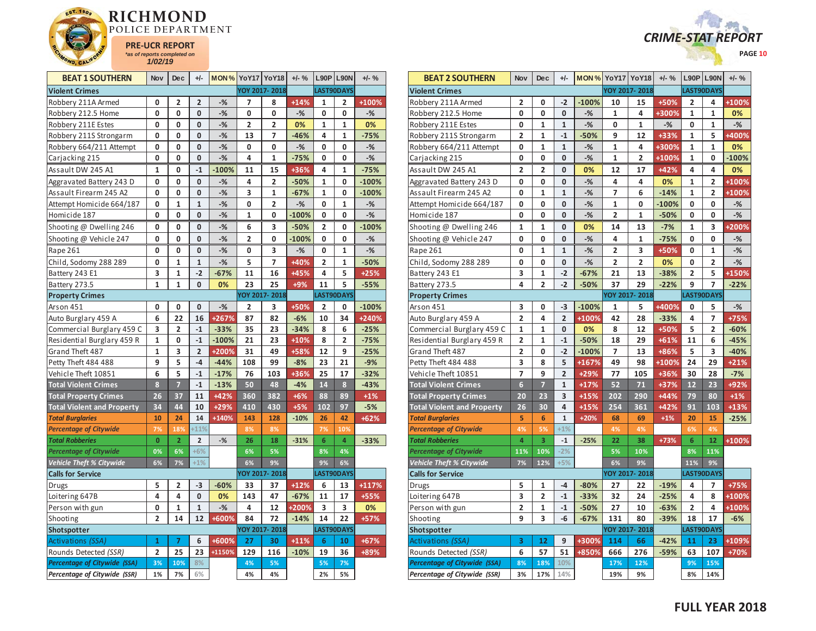



| <b>BEAT 1 SOUTHERN</b>              | <b>Nov</b>     | Dec            | $+/-$                   |                | <b>MON % YoY17 YoY18</b> |                         | $+/-$ % |                | <b>L90P L90N</b> | $+/-$ % |
|-------------------------------------|----------------|----------------|-------------------------|----------------|--------------------------|-------------------------|---------|----------------|------------------|---------|
| <b>Violent Crimes</b>               |                |                |                         |                |                          | YOY 2017-2018           |         |                | LAST90DAYS       |         |
| Robbery 211A Armed                  | 0              | 2              | 2                       | $-%$           | 7                        | 8                       | $+14%$  | 1              | 2                | +100%   |
| Robbery 212.5 Home                  | 0              | 0              | 0                       | $-%$           | 0                        | 0                       | $-%$    | 0              | 0                | $-%$    |
| Robbery 211E Estes                  | 0              | 0              | 0                       | $-$ %          | 2                        | 2                       | 0%      | 1              | 1                | 0%      |
| Robbery 211S Strongarm              | 0              | 0              | 0                       | $-%$           | 13                       | 7                       | $-46%$  | 4              | 1                | $-75%$  |
| Robbery 664/211 Attempt             | 0              | 0              | 0                       | $-%$           | 0                        | 0                       | $-%$    | 0              | 0                | $-%$    |
| Carjacking 215                      | 0              | 0              | 0                       | $-%$           | 4                        | $\mathbf{1}$            | $-75%$  | 0              | 0                | $-$ %   |
| Assault DW 245 A1                   | 1              | 0              | $-1$                    | $-100%$        | 11                       | 15                      | +36%    | 4              | 1                | $-75%$  |
| Aggravated Battery 243 D            | 0              | 0              | 0                       | $-\frac{9}{6}$ | 4                        | $\overline{\mathbf{2}}$ | $-50%$  | 1              | 0                | $-100%$ |
| Assault Firearm 245 A2              | 0              | 0              | 0                       | $-%$           | 3                        | $\mathbf{1}$            | $-67%$  | 1              | 0                | $-100%$ |
| Attempt Homicide 664/187            | 0              | 1              | $\mathbf{1}$            | $-$ %          | 0                        | 2                       | $-%$    | 0              | $\mathbf{1}$     | $-%$    |
| Homicide 187                        | 0              | 0              | 0                       | $-$ %          | 1                        | 0                       | $-100%$ | 0              | 0                | $-$ %   |
| Shooting @ Dwelling 246             | 0              | 0              | 0                       | $-$ %          | 6                        | 3                       | $-50%$  | 2              | 0                | $-100%$ |
| Shooting @ Vehicle 247              | 0              | 0              | 0                       | $-%$           | $\overline{2}$           | 0                       | $-100%$ | 0              | 0                | $-$ %   |
| Rape 261                            | 0              | 0              | 0                       | $-$ %          | 0                        | 3                       | $-%$    | 0              | $\mathbf{1}$     | $-$ %   |
| Child, Sodomy 288 289               | 0              | $\mathbf{1}$   | $\mathbf{1}$            | $-%$           | 5                        | $\overline{7}$          | +40%    | $\overline{2}$ | 1                | $-50%$  |
| Battery 243 E1                      | 3              | 1              | $-2$                    | $-67%$         | 11                       | 16                      | +45%    | 4              | 5                | $+25%$  |
| Battery 273.5                       | $\mathbf{1}$   | $\overline{1}$ | 0                       | 0%             | 23                       | 25                      | $+9%$   | 11             | 5                | $-55%$  |
| <b>Property Crimes</b>              |                |                |                         |                |                          | YOY 2017-2018           |         |                | LAST90DAYS       |         |
| Arson 451                           | 0              | 0              | 0                       | $-$ %          | $\overline{2}$           | 3                       | +50%    | $\overline{2}$ | 0                | $-100%$ |
| Auto Burglary 459 A                 | 6              | 22             | 16                      | +267%          | 87                       | 82                      | $-6%$   | 10             | 34               | $+240%$ |
| Commercial Burglary 459 C           | 3              | $\overline{2}$ | $-1$                    | $-33%$         | 35                       | 23                      | $-34%$  | 8              | 6                | $-25%$  |
| Residential Burglary 459 R          | $\mathbf 1$    | 0              | $-1$                    | $-100%$        | 21                       | 23                      | +10%    | 8              | 2                | $-75%$  |
| Grand Theft 487                     | 1              | 3              | $\overline{2}$          | +200%          | 31                       | 49                      | +58%    | 12             | 9                | $-25%$  |
| Petty Theft 484 488                 | 9              | 5              | $-4$                    | $-44%$         | 108                      | 99                      | $-8%$   | 23             | 21               | $-9%$   |
| Vehicle Theft 10851                 | 6              | 5              | $-1$                    | $-17%$         | 76                       | 103                     | +36%    | 25             | 17               | $-32%$  |
| <b>Total Violent Crimes</b>         | 8              | 7              | $-1$                    | $-13%$         | 50                       | 48                      | $-4%$   | 14             | 8                | $-43%$  |
| <b>Total Property Crimes</b>        | 26             | 37             | 11                      | $+42%$         | 360                      | 382                     | $+6%$   | 88             | 89               | $+1%$   |
| <b>Total Violent and Property</b>   | 34             | 44             | 10                      | +29%           | 410                      | 430                     | $+5%$   | 102            | 97               | $-5%$   |
| <b>Total Burglaries</b>             | 10             | 24             | 14                      | +140%          | 143                      | 128                     | $-10%$  | 26             | 42               | $+62%$  |
| <b>Percentage of Citywide</b>       | 7%             | 18%            | $+11%$                  |                | 8%                       | 8%                      |         | 7%             | 10%              |         |
| <b>Total Robberies</b>              | $\mathbf{0}$   | $\overline{2}$ | $\overline{\mathbf{2}}$ | $-$ %          | 26                       | 18                      | $-31%$  | 6              | 4                | $-33%$  |
| <b>Percentage of Citywide</b>       | 0%             | 6%             | $+6%$                   |                | 6%                       | 5%                      |         | 8%             | 4%               |         |
| <b>Vehicle Theft % Citywide</b>     | 6%             | 7%             | $+1%$                   |                | 6%                       | 9%                      |         | 9%             | 6%               |         |
| <b>Calls for Service</b>            |                |                |                         |                |                          | YOY 2017-2018           |         |                | LAST90DAYS       |         |
| Drugs                               | 5              | 2              | $-3$                    | $-60%$         | 33                       | 37                      | $+12%$  | 6              | 13               | $+117%$ |
| Loitering 647B                      | 4              | 4              | 0                       | 0%             | 143                      | 47                      | $-67%$  | 11             | 17               | +55%    |
| Person with gun                     | 0              | $\mathbf 1$    | 1                       | $-%$           | 4                        | 12                      | +200%   | 3              | 3                | 0%      |
| Shooting                            | $\overline{2}$ | 14             | 12                      | +600%          | 84                       | 72                      | $-14%$  | 14             | 22               | $+57%$  |
| Shotspotter                         |                |                |                         |                |                          | YOY 2017-2018           |         |                | LAST90DAYS       |         |
| Activations (SSA)                   | 1              | 7              | 6                       | +600%          | 27                       | 30                      | $+11%$  | 6              | 10               | $+67%$  |
| Rounds Detected (SSR)               | $\overline{2}$ | 25             | 23                      | +1150%         | 129                      | 116                     | $-10%$  | 19             | 36               | +89%    |
| <b>Percentage of Citywide (SSA)</b> | 3%             | 10%            | 8%                      |                | 4%                       | 5%                      |         | 5%             | 7%               |         |
| Percentage of Citywide (SSR)        | 1%             | 7%             | 6%                      |                | 4%                       | 4%                      |         | 2%             | 5%               |         |

| <b>BEAT 2 SOUTHERN</b>            | Nov            | <b>Dec</b>      | +/-                     | <b>MON % YoY17 YoY18</b> |                |                | $+/-$ % |                         | $L90P$ L90N    | $+/-$ % |
|-----------------------------------|----------------|-----------------|-------------------------|--------------------------|----------------|----------------|---------|-------------------------|----------------|---------|
| <b>Violent Crimes</b>             |                |                 |                         |                          |                | YOY 2017-2018  |         |                         | LAST90DAYS     |         |
| Robbery 211A Armed                | 2              | 0               | $-2$                    | $-100%$                  | 10             | 15             | +50%    | 2                       | 4              | +100%   |
| Robbery 212.5 Home                | 0              | 0               | 0                       | $-%$                     | 1              | 4              | +300%   | 1                       | $\mathbf 1$    | 0%      |
| Robbery 211E Estes                | 0              | $\mathbf{1}$    | $\mathbf{1}$            | $-$ %                    | 0              | 1              | $-$ %   | 0                       | $\mathbf{1}$   | $-%$    |
| Robbery 211S Strongarm            | 2              | $\mathbf{1}$    | $-1$                    | $-50%$                   | 9              | 12             | +33%    | $\mathbf{1}$            | 5              | +400%   |
| Robbery 664/211 Attempt           | 0              | $\mathbf{1}$    | $\mathbf{1}$            | $-%$                     | 1              | 4              | +300%   | $\mathbf{1}$            | $\mathbf{1}$   | 0%      |
| Carjacking 215                    | 0              | 0               | $\mathbf 0$             | $-$ %                    | 1              | $\overline{2}$ | +100%   | $\mathbf{1}$            | 0              | $-100%$ |
| Assault DW 245 A1                 | $\overline{2}$ | $\overline{2}$  | 0                       | 0%                       | 12             | 17             | $+42%$  | 4                       | 4              | 0%      |
| Aggravated Battery 243 D          | 0              | 0               | 0                       | $-$ %                    | 4              | 4              | 0%      | 1                       | $\overline{2}$ | +100%   |
| Assault Firearm 245 A2            | 0              | 1               | $\mathbf{1}$            | $-%$                     | $\overline{7}$ | 6              | $-14%$  | $\mathbf{1}$            | $\overline{2}$ | +100%   |
| Attempt Homicide 664/187          | 0              | 0               | 0                       | $-%$                     | 1              | 0              | $-100%$ | 0                       | 0              | $-%$    |
| Homicide 187                      | 0              | 0               | 0                       | $-%$                     | 2              | 1              | $-50%$  | 0                       | 0              | $-%$    |
| Shooting @ Dwelling 246           | 1              | 1               | 0                       | 0%                       | 14             | 13             | $-7%$   | 1                       | 3              | +200%   |
| Shooting @ Vehicle 247            | 0              | 0               | $\mathbf 0$             | $-$ %                    | 4              | 1              | $-75%$  | 0                       | 0              | $-$ %   |
| Rape 261                          | 0              | 1               | $\mathbf{1}$            | $-%$                     | 2              | 3              | +50%    | 0                       | 1              | $-%$    |
| Child, Sodomy 288 289             | 0              | 0               | 0                       | $-%$                     | 2              | 2              | 0%      | 0                       | $\overline{2}$ | $-%$    |
| Battery 243 E1                    | 3              | $\mathbf 1$     | $-2$                    | $-67%$                   | 21             | 13             | $-38%$  | $\overline{2}$          | 5              | +150%   |
| Battery 273.5                     | 4              | 2               | $-2$                    | $-50%$                   | 37             | 29             | $-22%$  | 9                       | 7              | $-22%$  |
| <b>Property Crimes</b>            |                |                 |                         |                          |                | YOY 2017-2018  |         |                         | LAST90DAYS     |         |
| Arson 451                         | 3              | 0               | -3                      | $-100%$                  | 1              | 5              | +400%   | 0                       | 5              | $-%$    |
| Auto Burglary 459 A               | 2              | 4               | 2                       | +100%                    | 42             | 28             | $-33%$  | 4                       | 7              | $+75%$  |
| Commercial Burglary 459 C         | $\mathbf{1}$   | 1               | 0                       | 0%                       | 8              | 12             | +50%    | 5                       | 2              | $-60%$  |
| Residential Burglary 459 R        | 2              | 1               | $-1$                    | $-50%$                   | 18             | 29             | $+61%$  | 11                      | 6              | $-45%$  |
| Grand Theft 487                   | 2              | 0               | $-2$                    | $-100%$                  | 7              | 13             | +86%    | 5                       | 3              | $-40%$  |
| Petty Theft 484 488               | 3              | 8               | 5                       | +167%                    | 49             | 98             | +100%   | 24                      | 29             | $+21%$  |
| Vehicle Theft 10851               | 7              | 9               | $\overline{\mathbf{c}}$ | $+29%$                   | 77             | 105            | +36%    | 30                      | 28             | $-7%$   |
| <b>Total Violent Crimes</b>       | $\overline{6}$ | $\overline{7}$  | $\mathbf{1}$            | $+17%$                   | 52             | 71             | +37%    | 12                      | 23             | +92%    |
| <b>Total Property Crimes</b>      | 20             | 23              | 3                       | $+15%$                   | 202            | 290            | $+44%$  | 79                      | 80             | $+1%$   |
| <b>Total Violent and Property</b> | 26             | 30              | 4                       | $+15%$                   | 254            | 361            | $+42%$  | 91                      | 103            | $+13%$  |
| <b>Total Burglaries</b>           | 5              | $6\phantom{1}6$ | $\mathbf 1$             | $+20%$                   | 68             | 69             | $+1%$   | 20                      | 15             | $-25%$  |
| <b>Percentage of Citywide</b>     | 4%             | 5%              | $+1%$                   |                          | 4%             | 4%             |         | 6%                      | 4%             |         |
| <b>Total Robberies</b>            | 4              | 3               | $-1$                    | $-25%$                   | 22             | 38             | +73%    | 6                       | 12             | +100%   |
| <b>Percentage of Citywide</b>     | 11%            | 10%             | $-2%$                   |                          | 5%             | 10%            |         | 8%                      | 11%            |         |
| Vehicle Theft % Citywide          | 7%             | 12%             | $+5%$                   |                          | 6%             | 9%             |         | 11%                     | 9%             |         |
| <b>Calls for Service</b>          |                |                 |                         |                          |                | YOY 2017-2018  |         |                         | LAST90DAYS     |         |
| Drugs                             | 5              | 1               | $-4$                    | $-80%$                   | 27             | 22             | $-19%$  | 4                       | 7              | $+75%$  |
| Loitering 647B                    | 3              | $\overline{2}$  | $-1$                    | $-33%$                   | 32             | 24             | $-25%$  | 4                       | 8              | +100%   |
| Person with gun                   | 2              | 1               | $-1$                    | $-50%$                   | 27             | 10             | $-63%$  | $\overline{\mathbf{2}}$ | 4              | +100%   |
| Shooting                          | 9              | 3               | -6                      | $-67%$                   | 131            | 80             | $-39%$  | 18                      | 17             | $-6%$   |
| Shotspotter                       |                |                 |                         |                          |                | YOY 2017-2018  |         |                         | LAST90DAYS     |         |
| <b>Activations (SSA)</b>          | 3              | 12              | 9                       | +300%                    | 114            | 66             | $-42%$  | 11                      | 23             | +109%   |
| Rounds Detected (SSR)             | 6              | 57              | 51                      | +850%                    | 666            | 276            | $-59%$  | 63                      | 107            | +70%    |
| Percentage of Citywide (SSA)      | 8%             | 18%             | 10%                     |                          | 17%            | 12%            |         | 9%                      | 15%            |         |
| Percentage of Citywide (SSR)      | 3%             | 17%             | 14%                     |                          | 19%            | 9%             |         | 8%                      | 14%            |         |